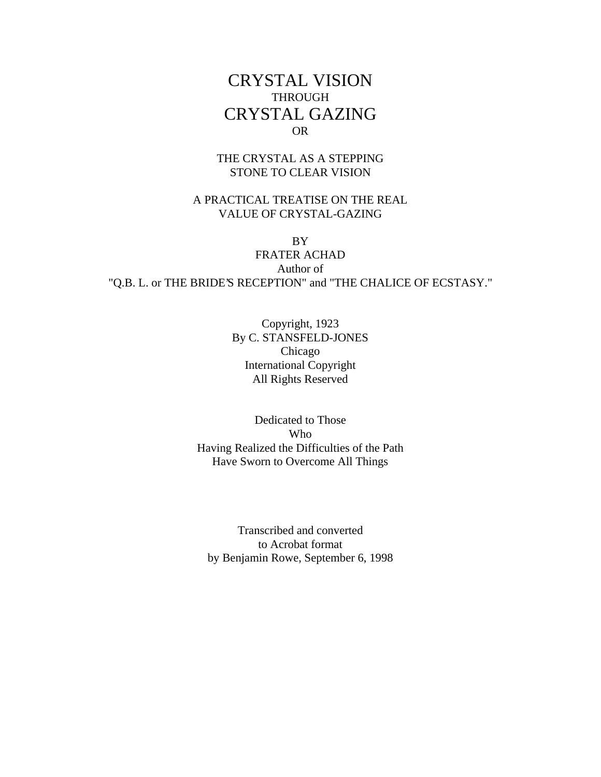# CRYSTAL VISION THROUGH CRYSTAL GAZING OR

## THE CRYSTAL AS A STEPPING STONE TO CLEAR VISION

### A PRACTICAL TREATISE ON THE REAL VALUE OF CRYSTAL-GAZING

BY

FRATER ACHAD Author of "Q.B. L. or THE BRIDE'S RECEPTION" and "THE CHALICE OF ECSTASY."

> Copyright, 1923 By C. STANSFELD-JONES Chicago International Copyright All Rights Reserved

Dedicated to Those Who Having Realized the Difficulties of the Path Have Sworn to Overcome All Things

Transcribed and converted to Acrobat format by Benjamin Rowe, September 6, 1998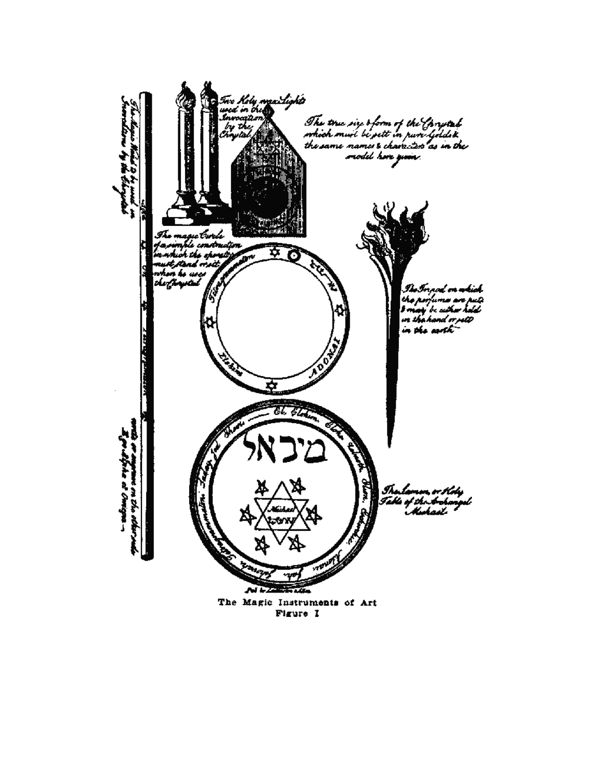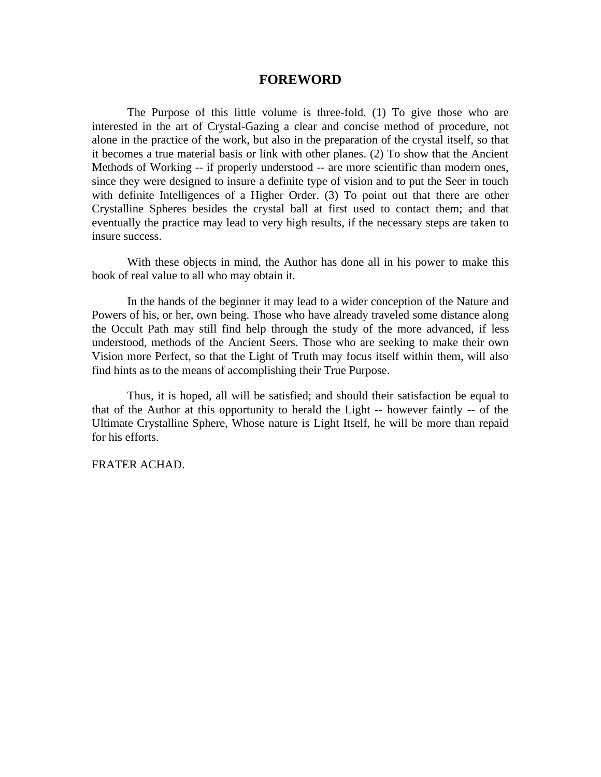#### **FOREWORD**

The Purpose of this little volume is three-fold. (1) To give those who are interested in the art of Crystal-Gazing a clear and concise method of procedure, not alone in the practice of the work, but also in the preparation of the crystal itself, so that it becomes a true material basis or link with other planes. (2) To show that the Ancient Methods of Working -- if properly understood -- are more scientific than modern ones, since they were designed to insure a definite type of vision and to put the Seer in touch with definite Intelligences of a Higher Order. (3) To point out that there are other Crystalline Spheres besides the crystal ball at first used to contact them; and that eventually the practice may lead to very high results, if the necessary steps are taken to insure success.

With these objects in mind, the Author has done all in his power to make this book of real value to all who may obtain it.

In the hands of the beginner it may lead to a wider conception of the Nature and Powers of his, or her, own being. Those who have already traveled some distance along the Occult Path may still find help through the study of the more advanced, if less understood, methods of the Ancient Seers. Those who are seeking to make their own Vision more Perfect, so that the Light of Truth may focus itself within them, will also find hints as to the means of accomplishing their True Purpose.

Thus, it is hoped, all will be satisfied; and should their satisfaction be equal to that of the Author at this opportunity to herald the Light -- however faintly -- of the Ultimate Crystalline Sphere, Whose nature is Light Itself, he will be more than repaid for his efforts.

#### FRATER ACHAD.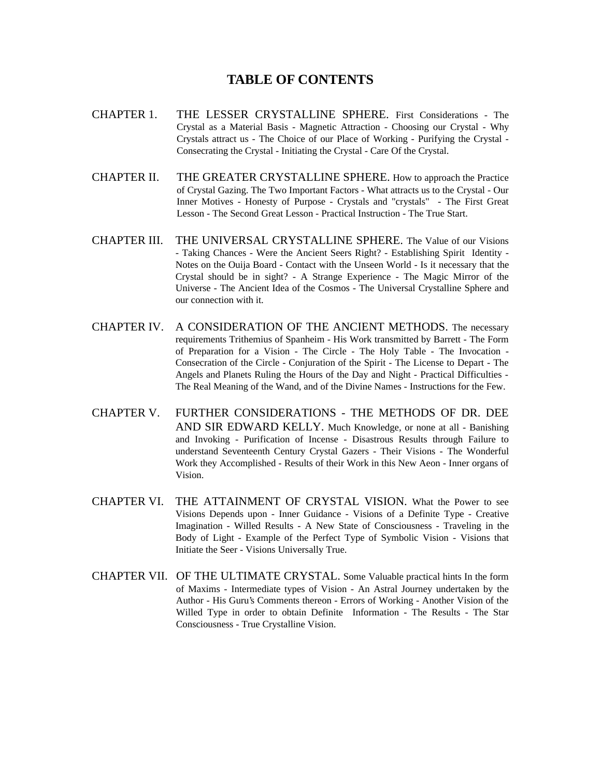## **TABLE OF CONTENTS**

- CHAPTER 1. THE LESSER CRYSTALLINE SPHERE. First Considerations The Crystal as a Material Basis - Magnetic Attraction - Choosing our Crystal - Why Crystals attract us - The Choice of our Place of Working - Purifying the Crystal - Consecrating the Crystal - Initiating the Crystal - Care Of the Crystal.
- CHAPTER II. THE GREATER CRYSTALLINE SPHERE. How to approach the Practice of Crystal Gazing. The Two Important Factors - What attracts us to the Crystal - Our Inner Motives - Honesty of Purpose - Crystals and "crystals" - The First Great Lesson - The Second Great Lesson - Practical Instruction - The True Start.
- CHAPTER III. THE UNIVERSAL CRYSTALLINE SPHERE. The Value of our Visions - Taking Chances - Were the Ancient Seers Right? - Establishing Spirit Identity - Notes on the Ouija Board - Contact with the Unseen World - Is it necessary that the Crystal should be in sight? - A Strange Experience - The Magic Mirror of the Universe - The Ancient Idea of the Cosmos - The Universal Crystalline Sphere and our connection with it.
- CHAPTER IV. A CONSIDERATION OF THE ANCIENT METHODS. The necessary requirements Trithemius of Spanheim - His Work transmitted by Barrett - The Form of Preparation for a Vision - The Circle - The Holy Table - The Invocation - Consecration of the Circle - Conjuration of the Spirit - The License to Depart - The Angels and Planets Ruling the Hours of the Day and Night - Practical Difficulties - The Real Meaning of the Wand, and of the Divine Names - Instructions for the Few.
- CHAPTER V. FURTHER CONSIDERATIONS THE METHODS OF DR. DEE AND SIR EDWARD KELLY. Much Knowledge, or none at all - Banishing and Invoking - Purification of Incense - Disastrous Results through Failure to understand Seventeenth Century Crystal Gazers - Their Visions - The Wonderful Work they Accomplished - Results of their Work in this New Aeon - Inner organs of Vision.
- CHAPTER VI. THE ATTAINMENT OF CRYSTAL VISION. What the Power to see Visions Depends upon - Inner Guidance - Visions of a Definite Type - Creative Imagination - Willed Results - A New State of Consciousness - Traveling in the Body of Light - Example of the Perfect Type of Symbolic Vision - Visions that Initiate the Seer - Visions Universally True.
- CHAPTER VII. OF THE ULTIMATE CRYSTAL. Some Valuable practical hints In the form of Maxims - Intermediate types of Vision - An Astral Journey undertaken by the Author - His Guru's Comments thereon - Errors of Working - Another Vision of the Willed Type in order to obtain Definite Information - The Results - The Star Consciousness - True Crystalline Vision.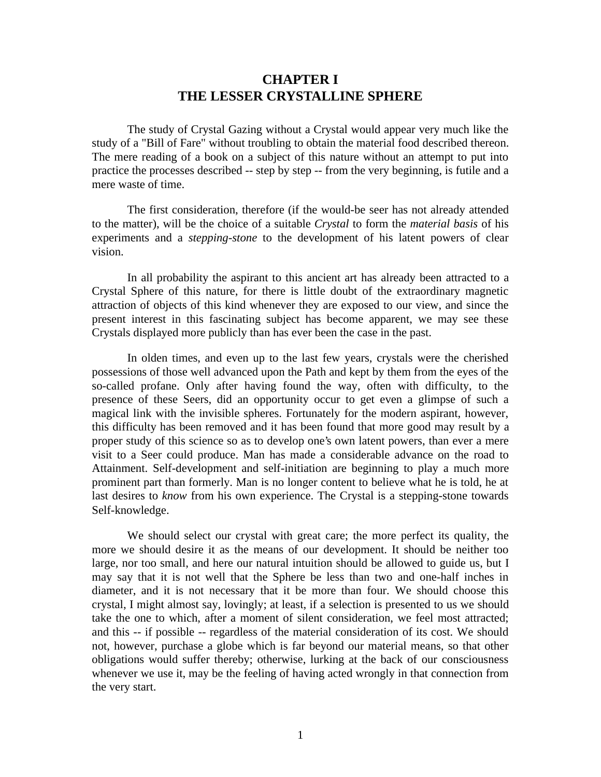# **CHAPTER I THE LESSER CRYSTALLINE SPHERE**

The study of Crystal Gazing without a Crystal would appear very much like the study of a "Bill of Fare" without troubling to obtain the material food described thereon. The mere reading of a book on a subject of this nature without an attempt to put into practice the processes described -- step by step -- from the very beginning, is futile and a mere waste of time.

The first consideration, therefore (if the would-be seer has not already attended to the matter), will be the choice of a suitable *Crystal* to form the *material basis* of his experiments and a *stepping-stone* to the development of his latent powers of clear vision.

In all probability the aspirant to this ancient art has already been attracted to a Crystal Sphere of this nature, for there is little doubt of the extraordinary magnetic attraction of objects of this kind whenever they are exposed to our view, and since the present interest in this fascinating subject has become apparent, we may see these Crystals displayed more publicly than has ever been the case in the past.

In olden times, and even up to the last few years, crystals were the cherished possessions of those well advanced upon the Path and kept by them from the eyes of the so-called profane. Only after having found the way, often with difficulty, to the presence of these Seers, did an opportunity occur to get even a glimpse of such a magical link with the invisible spheres. Fortunately for the modern aspirant, however, this difficulty has been removed and it has been found that more good may result by a proper study of this science so as to develop one's own latent powers, than ever a mere visit to a Seer could produce. Man has made a considerable advance on the road to Attainment. Self-development and self-initiation are beginning to play a much more prominent part than formerly. Man is no longer content to believe what he is told, he at last desires to *know* from his own experience. The Crystal is a stepping-stone towards Self-knowledge.

We should select our crystal with great care; the more perfect its quality, the more we should desire it as the means of our development. It should be neither too large, nor too small, and here our natural intuition should be allowed to guide us, but I may say that it is not well that the Sphere be less than two and one-half inches in diameter, and it is not necessary that it be more than four. We should choose this crystal, I might almost say, lovingly; at least, if a selection is presented to us we should take the one to which, after a moment of silent consideration, we feel most attracted; and this -- if possible -- regardless of the material consideration of its cost. We should not, however, purchase a globe which is far beyond our material means, so that other obligations would suffer thereby; otherwise, lurking at the back of our consciousness whenever we use it, may be the feeling of having acted wrongly in that connection from the very start.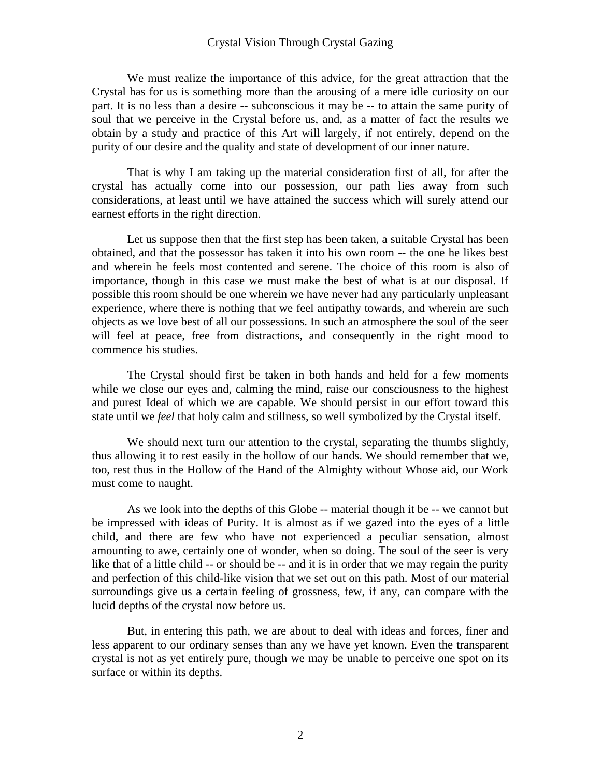We must realize the importance of this advice, for the great attraction that the Crystal has for us is something more than the arousing of a mere idle curiosity on our part. It is no less than a desire -- subconscious it may be -- to attain the same purity of soul that we perceive in the Crystal before us, and, as a matter of fact the results we obtain by a study and practice of this Art will largely, if not entirely, depend on the purity of our desire and the quality and state of development of our inner nature.

That is why I am taking up the material consideration first of all, for after the crystal has actually come into our possession, our path lies away from such considerations, at least until we have attained the success which will surely attend our earnest efforts in the right direction.

Let us suppose then that the first step has been taken, a suitable Crystal has been obtained, and that the possessor has taken it into his own room -- the one he likes best and wherein he feels most contented and serene. The choice of this room is also of importance, though in this case we must make the best of what is at our disposal. If possible this room should be one wherein we have never had any particularly unpleasant experience, where there is nothing that we feel antipathy towards, and wherein are such objects as we love best of all our possessions. In such an atmosphere the soul of the seer will feel at peace, free from distractions, and consequently in the right mood to commence his studies.

The Crystal should first be taken in both hands and held for a few moments while we close our eyes and, calming the mind, raise our consciousness to the highest and purest Ideal of which we are capable. We should persist in our effort toward this state until we *feel* that holy calm and stillness, so well symbolized by the Crystal itself.

We should next turn our attention to the crystal, separating the thumbs slightly, thus allowing it to rest easily in the hollow of our hands. We should remember that we, too, rest thus in the Hollow of the Hand of the Almighty without Whose aid, our Work must come to naught.

As we look into the depths of this Globe -- material though it be -- we cannot but be impressed with ideas of Purity. It is almost as if we gazed into the eyes of a little child, and there are few who have not experienced a peculiar sensation, almost amounting to awe, certainly one of wonder, when so doing. The soul of the seer is very like that of a little child -- or should be -- and it is in order that we may regain the purity and perfection of this child-like vision that we set out on this path. Most of our material surroundings give us a certain feeling of grossness, few, if any, can compare with the lucid depths of the crystal now before us.

But, in entering this path, we are about to deal with ideas and forces, finer and less apparent to our ordinary senses than any we have yet known. Even the transparent crystal is not as yet entirely pure, though we may be unable to perceive one spot on its surface or within its depths.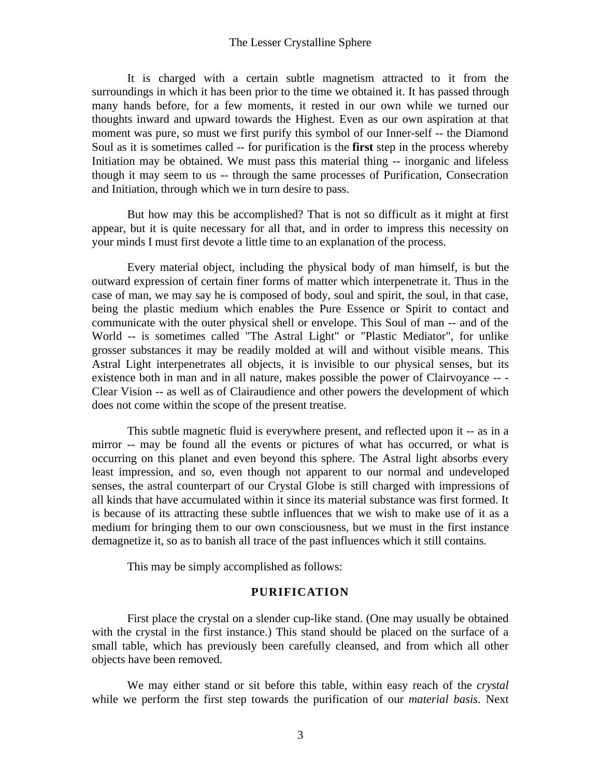#### The Lesser Crystalline Sphere

It is charged with a certain subtle magnetism attracted to it from the surroundings in which it has been prior to the time we obtained it. It has passed through many hands before, for a few moments, it rested in our own while we turned our thoughts inward and upward towards the Highest. Even as our own aspiration at that moment was pure, so must we first purify this symbol of our Inner-self -- the Diamond Soul as it is sometimes called -- for purification is the **first** step in the process whereby Initiation may be obtained. We must pass this material thing -- inorganic and lifeless though it may seem to us -- through the same processes of Purification, Consecration and Initiation, through which we in turn desire to pass.

But how may this be accomplished? That is not so difficult as it might at first appear, but it is quite necessary for all that, and in order to impress this necessity on your minds I must first devote a little time to an explanation of the process.

Every material object, including the physical body of man himself, is but the outward expression of certain finer forms of matter which interpenetrate it. Thus in the case of man, we may say he is composed of body, soul and spirit, the soul, in that case, being the plastic medium which enables the Pure Essence or Spirit to contact and communicate with the outer physical shell or envelope. This Soul of man -- and of the World -- is sometimes called "The Astral Light" or "Plastic Mediator", for unlike grosser substances it may be readily molded at will and without visible means. This Astral Light interpenetrates all objects, it is invisible to our physical senses, but its existence both in man and in all nature, makes possible the power of Clairvoyance -- - Clear Vision -- as well as of Clairaudience and other powers the development of which does not come within the scope of the present treatise.

This subtle magnetic fluid is everywhere present, and reflected upon it -- as in a mirror -- may be found all the events or pictures of what has occurred, or what is occurring on this planet and even beyond this sphere. The Astral light absorbs every least impression, and so, even though not apparent to our normal and undeveloped senses, the astral counterpart of our Crystal Globe is still charged with impressions of all kinds that have accumulated within it since its material substance was first formed. It is because of its attracting these subtle influences that we wish to make use of it as a medium for bringing them to our own consciousness, but we must in the first instance demagnetize it, so as to banish all trace of the past influences which it still contains.

This may be simply accomplished as follows:

#### **PURIFICATION**

First place the crystal on a slender cup-like stand. (One may usually be obtained with the crystal in the first instance.) This stand should be placed on the surface of a small table, which has previously been carefully cleansed, and from which all other objects have been removed.

We may either stand or sit before this table, within easy reach of the *crystal* while we perform the first step towards the purification of our *material basis.* Next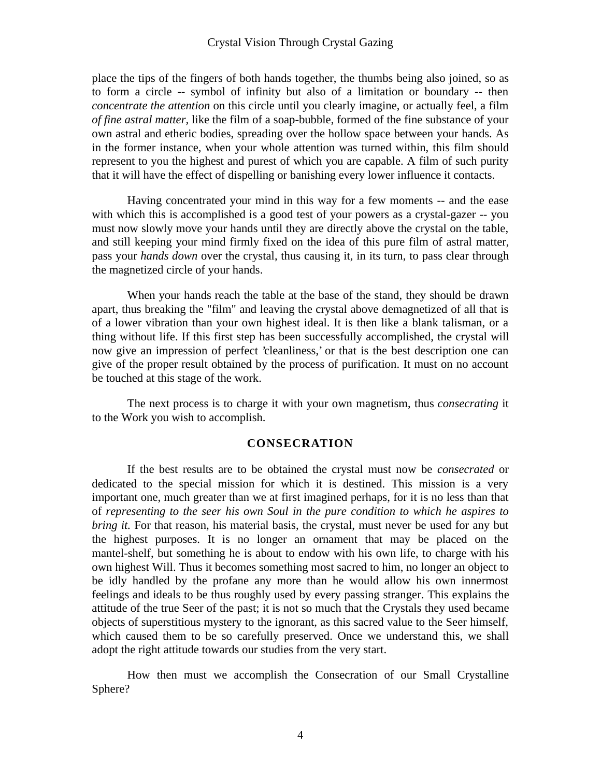place the tips of the fingers of both hands together, the thumbs being also joined, so as to form a circle -- symbol of infinity but also of a limitation or boundary -- then *concentrate the attention* on this circle until you clearly imagine, or actually feel, a film *of fine astral matter,* like the film of a soap-bubble, formed of the fine substance of your own astral and etheric bodies, spreading over the hollow space between your hands. As in the former instance, when your whole attention was turned within, this film should represent to you the highest and purest of which you are capable. A film of such purity that it will have the effect of dispelling or banishing every lower influence it contacts.

Having concentrated your mind in this way for a few moments -- and the ease with which this is accomplished is a good test of your powers as a crystal-gazer -- you must now slowly move your hands until they are directly above the crystal on the table, and still keeping your mind firmly fixed on the idea of this pure film of astral matter, pass your *hands down* over the crystal, thus causing it, in its turn, to pass clear through the magnetized circle of your hands.

When your hands reach the table at the base of the stand, they should be drawn apart, thus breaking the "film" and leaving the crystal above demagnetized of all that is of a lower vibration than your own highest ideal. It is then like a blank talisman, or a thing without life. If this first step has been successfully accomplished, the crystal will now give an impression of perfect 'cleanliness,' or that is the best description one can give of the proper result obtained by the process of purification. It must on no account be touched at this stage of the work.

The next process is to charge it with your own magnetism, thus *consecrating* it to the Work you wish to accomplish.

#### **CONSECRATION**

If the best results are to be obtained the crystal must now be *consecrated* or dedicated to the special mission for which it is destined. This mission is a very important one, much greater than we at first imagined perhaps, for it is no less than that of *representing to the seer his own Soul in the pure condition to which he aspires to bring it.* For that reason, his material basis, the crystal, must never be used for any but the highest purposes. It is no longer an ornament that may be placed on the mantel-shelf, but something he is about to endow with his own life, to charge with his own highest Will. Thus it becomes something most sacred to him, no longer an object to be idly handled by the profane any more than he would allow his own innermost feelings and ideals to be thus roughly used by every passing stranger. This explains the attitude of the true Seer of the past; it is not so much that the Crystals they used became objects of superstitious mystery to the ignorant, as this sacred value to the Seer himself, which caused them to be so carefully preserved. Once we understand this, we shall adopt the right attitude towards our studies from the very start.

How then must we accomplish the Consecration of our Small Crystalline Sphere?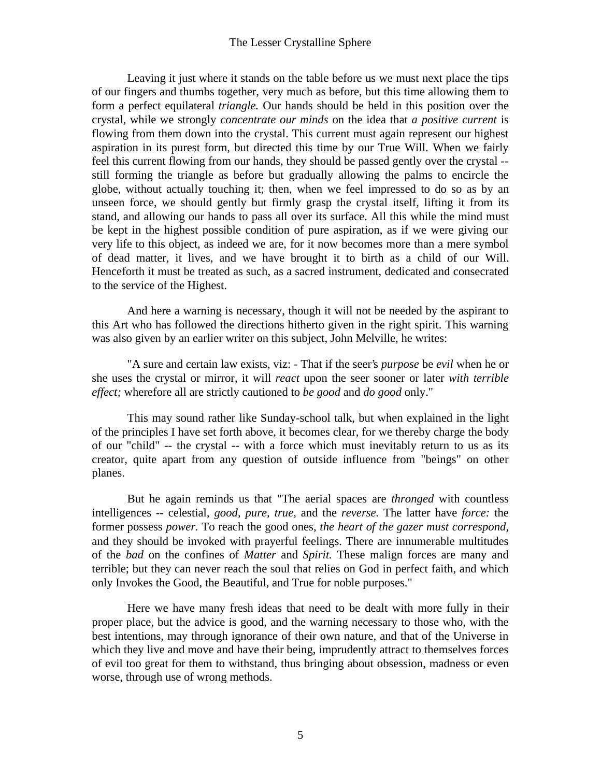#### The Lesser Crystalline Sphere

Leaving it just where it stands on the table before us we must next place the tips of our fingers and thumbs together, very much as before, but this time allowing them to form a perfect equilateral *triangle.* Our hands should be held in this position over the crystal, while we strongly *concentrate our minds* on the idea that *a positive current* is flowing from them down into the crystal. This current must again represent our highest aspiration in its purest form, but directed this time by our True Will. When we fairly feel this current flowing from our hands, they should be passed gently over the crystal - still forming the triangle as before but gradually allowing the palms to encircle the globe, without actually touching it; then, when we feel impressed to do so as by an unseen force, we should gently but firmly grasp the crystal itself, lifting it from its stand, and allowing our hands to pass all over its surface. All this while the mind must be kept in the highest possible condition of pure aspiration, as if we were giving our very life to this object, as indeed we are, for it now becomes more than a mere symbol of dead matter, it lives, and we have brought it to birth as a child of our Will. Henceforth it must be treated as such, as a sacred instrument, dedicated and consecrated to the service of the Highest.

And here a warning is necessary, though it will not be needed by the aspirant to this Art who has followed the directions hitherto given in the right spirit. This warning was also given by an earlier writer on this subject, John Melville, he writes:

"A sure and certain law exists, viz: - That if the seer's *purpose* be *evil* when he or she uses the crystal or mirror, it will *react* upon the seer sooner or later *with terrible effect;* wherefore all are strictly cautioned to *be good* and *do good* only."

This may sound rather like Sunday-school talk, but when explained in the light of the principles I have set forth above, it becomes clear, for we thereby charge the body of our "child" -- the crystal -- with a force which must inevitably return to us as its creator, quite apart from any question of outside influence from "beings" on other planes.

But he again reminds us that "The aerial spaces are *thronged* with countless intelligences -- celestial, *good, pure, true,* and the *reverse.* The latter have *force:* the former possess *power.* To reach the good ones, *the heart of the gazer must correspond,* and they should be invoked with prayerful feelings. There are innumerable multitudes of the *bad* on the confines of *Matter* and *Spirit.* These malign forces are many and terrible; but they can never reach the soul that relies on God in perfect faith, and which only Invokes the Good, the Beautiful, and True for noble purposes."

Here we have many fresh ideas that need to be dealt with more fully in their proper place, but the advice is good, and the warning necessary to those who, with the best intentions, may through ignorance of their own nature, and that of the Universe in which they live and move and have their being, imprudently attract to themselves forces of evil too great for them to withstand, thus bringing about obsession, madness or even worse, through use of wrong methods.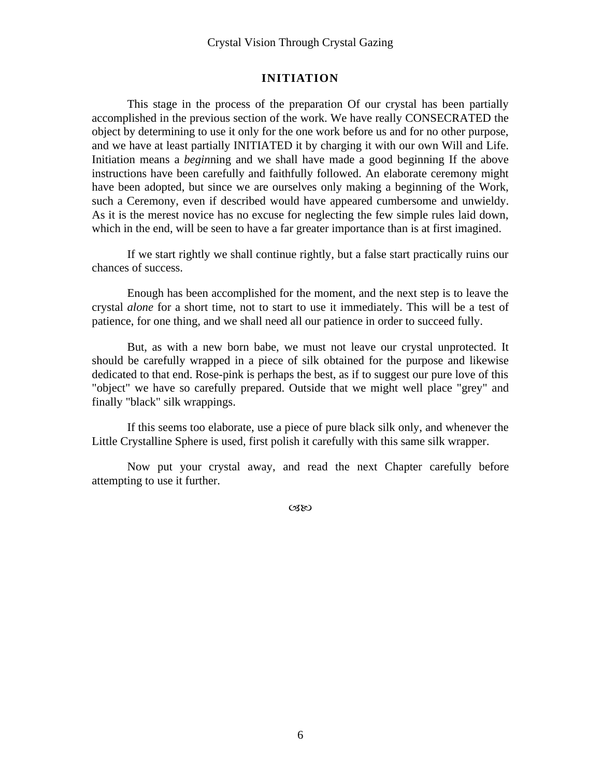#### **INITIATION**

This stage in the process of the preparation Of our crystal has been partially accomplished in the previous section of the work. We have really CONSECRATED the object by determining to use it only for the one work before us and for no other purpose, and we have at least partially INITIATED it by charging it with our own Will and Life. Initiation means a *begin*ning and we shall have made a good beginning If the above instructions have been carefully and faithfully followed. An elaborate ceremony might have been adopted, but since we are ourselves only making a beginning of the Work, such a Ceremony, even if described would have appeared cumbersome and unwieldy. As it is the merest novice has no excuse for neglecting the few simple rules laid down, which in the end, will be seen to have a far greater importance than is at first imagined.

If we start rightly we shall continue rightly, but a false start practically ruins our chances of success.

Enough has been accomplished for the moment, and the next step is to leave the crystal *alone* for a short time, not to start to use it immediately. This will be a test of patience, for one thing, and we shall need all our patience in order to succeed fully.

But, as with a new born babe, we must not leave our crystal unprotected. It should be carefully wrapped in a piece of silk obtained for the purpose and likewise dedicated to that end. Rose-pink is perhaps the best, as if to suggest our pure love of this "object" we have so carefully prepared. Outside that we might well place "grey" and finally "black" silk wrappings.

If this seems too elaborate, use a piece of pure black silk only, and whenever the Little Crystalline Sphere is used, first polish it carefully with this same silk wrapper.

Now put your crystal away, and read the next Chapter carefully before attempting to use it further.

ðñ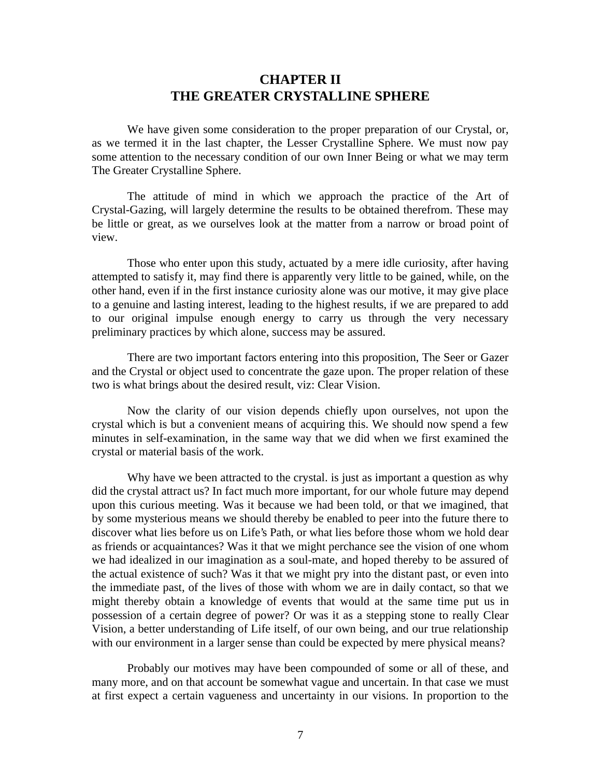# **CHAPTER II THE GREATER CRYSTALLINE SPHERE**

We have given some consideration to the proper preparation of our Crystal, or, as we termed it in the last chapter, the Lesser Crystalline Sphere. We must now pay some attention to the necessary condition of our own Inner Being or what we may term The Greater Crystalline Sphere.

The attitude of mind in which we approach the practice of the Art of Crystal-Gazing, will largely determine the results to be obtained therefrom. These may be little or great, as we ourselves look at the matter from a narrow or broad point of view.

Those who enter upon this study, actuated by a mere idle curiosity, after having attempted to satisfy it, may find there is apparently very little to be gained, while, on the other hand, even if in the first instance curiosity alone was our motive, it may give place to a genuine and lasting interest, leading to the highest results, if we are prepared to add to our original impulse enough energy to carry us through the very necessary preliminary practices by which alone, success may be assured.

There are two important factors entering into this proposition, The Seer or Gazer and the Crystal or object used to concentrate the gaze upon. The proper relation of these two is what brings about the desired result, viz: Clear Vision.

Now the clarity of our vision depends chiefly upon ourselves, not upon the crystal which is but a convenient means of acquiring this. We should now spend a few minutes in self-examination, in the same way that we did when we first examined the crystal or material basis of the work.

Why have we been attracted to the crystal. is just as important a question as why did the crystal attract us? In fact much more important, for our whole future may depend upon this curious meeting. Was it because we had been told, or that we imagined, that by some mysterious means we should thereby be enabled to peer into the future there to discover what lies before us on Life's Path, or what lies before those whom we hold dear as friends or acquaintances? Was it that we might perchance see the vision of one whom we had idealized in our imagination as a soul-mate, and hoped thereby to be assured of the actual existence of such? Was it that we might pry into the distant past, or even into the immediate past, of the lives of those with whom we are in daily contact, so that we might thereby obtain a knowledge of events that would at the same time put us in possession of a certain degree of power? Or was it as a stepping stone to really Clear Vision, a better understanding of Life itself, of our own being, and our true relationship with our environment in a larger sense than could be expected by mere physical means?

Probably our motives may have been compounded of some or all of these, and many more, and on that account be somewhat vague and uncertain. In that case we must at first expect a certain vagueness and uncertainty in our visions. In proportion to the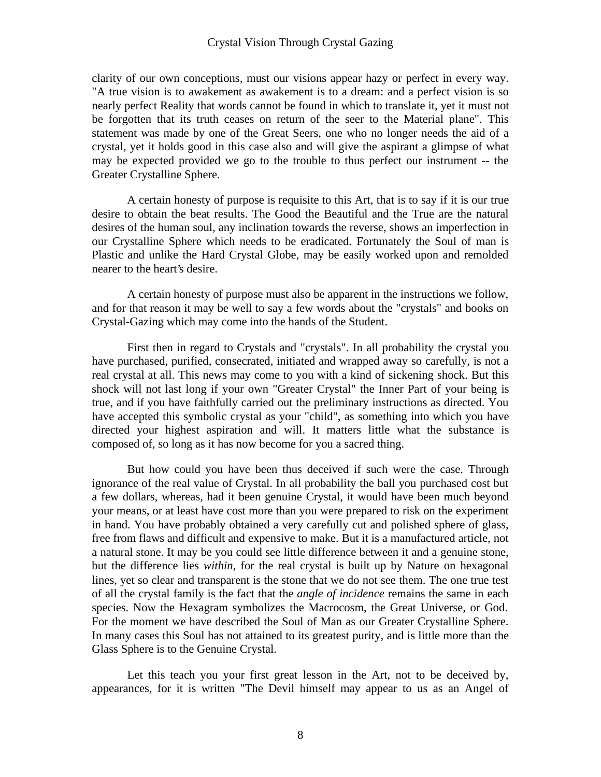clarity of our own conceptions, must our visions appear hazy or perfect in every way. "A true vision is to awakement as awakement is to a dream: and a perfect vision is so nearly perfect Reality that words cannot be found in which to translate it, yet it must not be forgotten that its truth ceases on return of the seer to the Material plane". This statement was made by one of the Great Seers, one who no longer needs the aid of a crystal, yet it holds good in this case also and will give the aspirant a glimpse of what may be expected provided we go to the trouble to thus perfect our instrument -- the Greater Crystalline Sphere.

A certain honesty of purpose is requisite to this Art, that is to say if it is our true desire to obtain the beat results. The Good the Beautiful and the True are the natural desires of the human soul, any inclination towards the reverse, shows an imperfection in our Crystalline Sphere which needs to be eradicated. Fortunately the Soul of man is Plastic and unlike the Hard Crystal Globe, may be easily worked upon and remolded nearer to the heart's desire.

A certain honesty of purpose must also be apparent in the instructions we follow, and for that reason it may be well to say a few words about the "crystals" and books on Crystal-Gazing which may come into the hands of the Student.

First then in regard to Crystals and "crystals". In all probability the crystal you have purchased, purified, consecrated, initiated and wrapped away so carefully, is not a real crystal at all. This news may come to you with a kind of sickening shock. But this shock will not last long if your own "Greater Crystal" the Inner Part of your being is true, and if you have faithfully carried out the preliminary instructions as directed. You have accepted this symbolic crystal as your "child", as something into which you have directed your highest aspiration and will. It matters little what the substance is composed of, so long as it has now become for you a sacred thing.

But how could you have been thus deceived if such were the case. Through ignorance of the real value of Crystal. In all probability the ball you purchased cost but a few dollars, whereas, had it been genuine Crystal, it would have been much beyond your means, or at least have cost more than you were prepared to risk on the experiment in hand. You have probably obtained a very carefully cut and polished sphere of glass, free from flaws and difficult and expensive to make. But it is a manufactured article, not a natural stone. It may be you could see little difference between it and a genuine stone, but the difference lies *within,* for the real crystal is built up by Nature on hexagonal lines, yet so clear and transparent is the stone that we do not see them. The one true test of all the crystal family is the fact that the *angle of incidence* remains the same in each species. Now the Hexagram symbolizes the Macrocosm, the Great Universe, or God. For the moment we have described the Soul of Man as our Greater Crystalline Sphere. In many cases this Soul has not attained to its greatest purity, and is little more than the Glass Sphere is to the Genuine Crystal.

Let this teach you your first great lesson in the Art, not to be deceived by, appearances, for it is written "The Devil himself may appear to us as an Angel of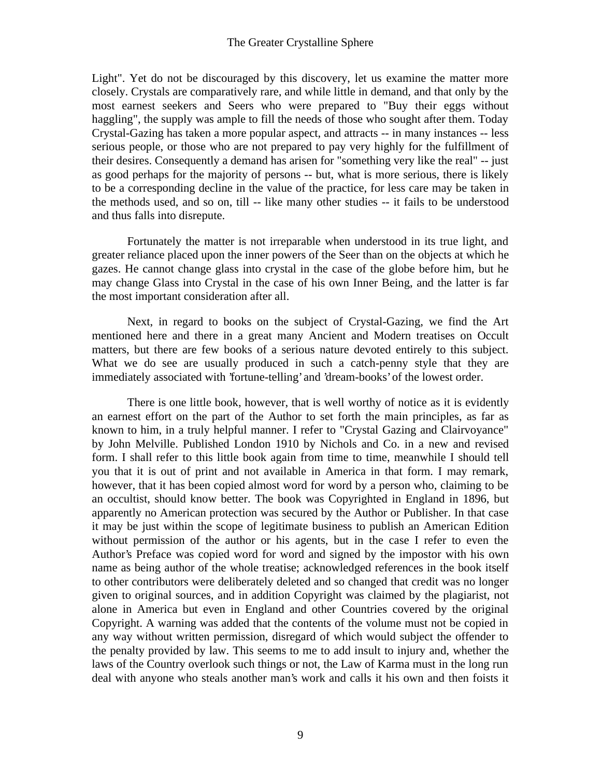#### The Greater Crystalline Sphere

Light". Yet do not be discouraged by this discovery, let us examine the matter more closely. Crystals are comparatively rare, and while little in demand, and that only by the most earnest seekers and Seers who were prepared to "Buy their eggs without haggling", the supply was ample to fill the needs of those who sought after them. Today Crystal-Gazing has taken a more popular aspect, and attracts -- in many instances -- less serious people, or those who are not prepared to pay very highly for the fulfillment of their desires. Consequently a demand has arisen for "something very like the real" -- just as good perhaps for the majority of persons -- but, what is more serious, there is likely to be a corresponding decline in the value of the practice, for less care may be taken in the methods used, and so on, till -- like many other studies -- it fails to be understood and thus falls into disrepute.

Fortunately the matter is not irreparable when understood in its true light, and greater reliance placed upon the inner powers of the Seer than on the objects at which he gazes. He cannot change glass into crystal in the case of the globe before him, but he may change Glass into Crystal in the case of his own Inner Being, and the latter is far the most important consideration after all.

Next, in regard to books on the subject of Crystal-Gazing, we find the Art mentioned here and there in a great many Ancient and Modern treatises on Occult matters, but there are few books of a serious nature devoted entirely to this subject. What we do see are usually produced in such a catch-penny style that they are immediately associated with 'fortune-telling' and 'dream-books' of the lowest order.

There is one little book, however, that is well worthy of notice as it is evidently an earnest effort on the part of the Author to set forth the main principles, as far as known to him, in a truly helpful manner. I refer to "Crystal Gazing and Clairvoyance" by John Melville. Published London 1910 by Nichols and Co. in a new and revised form. I shall refer to this little book again from time to time, meanwhile I should tell you that it is out of print and not available in America in that form. I may remark, however, that it has been copied almost word for word by a person who, claiming to be an occultist, should know better. The book was Copyrighted in England in 1896, but apparently no American protection was secured by the Author or Publisher. In that case it may be just within the scope of legitimate business to publish an American Edition without permission of the author or his agents, but in the case I refer to even the Author's Preface was copied word for word and signed by the impostor with his own name as being author of the whole treatise; acknowledged references in the book itself to other contributors were deliberately deleted and so changed that credit was no longer given to original sources, and in addition Copyright was claimed by the plagiarist, not alone in America but even in England and other Countries covered by the original Copyright. A warning was added that the contents of the volume must not be copied in any way without written permission, disregard of which would subject the offender to the penalty provided by law. This seems to me to add insult to injury and, whether the laws of the Country overlook such things or not, the Law of Karma must in the long run deal with anyone who steals another man's work and calls it his own and then foists it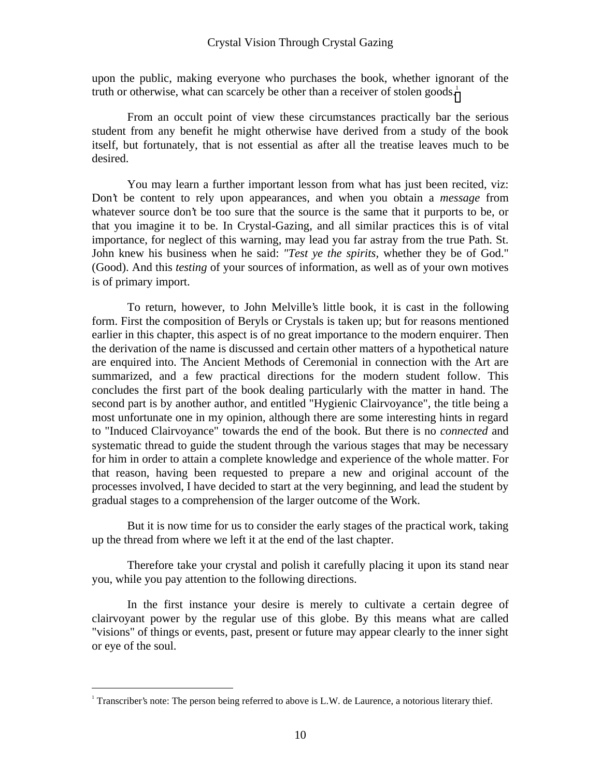upon the public, making everyone who purchases the book, whether ignorant of the truth or otherwise, what can scarcely be other than a receiver of stolen goods.<sup>1</sup>

From an occult point of view these circumstances practically bar the serious student from any benefit he might otherwise have derived from a study of the book itself, but fortunately, that is not essential as after all the treatise leaves much to be desired.

You may learn a further important lesson from what has just been recited, viz: Don't be content to rely upon appearances, and when you obtain a *message* from whatever source don't be too sure that the source is the same that it purports to be, or that you imagine it to be. In Crystal-Gazing, and all similar practices this is of vital importance, for neglect of this warning, may lead you far astray from the true Path. St. John knew his business when he said: *"Test ye the spirits,* whether they be of God." (Good). And this *testing* of your sources of information, as well as of your own motives is of primary import.

To return, however, to John Melville's little book, it is cast in the following form. First the composition of Beryls or Crystals is taken up; but for reasons mentioned earlier in this chapter, this aspect is of no great importance to the modern enquirer. Then the derivation of the name is discussed and certain other matters of a hypothetical nature are enquired into. The Ancient Methods of Ceremonial in connection with the Art are summarized, and a few practical directions for the modern student follow. This concludes the first part of the book dealing particularly with the matter in hand. The second part is by another author, and entitled "Hygienic Clairvoyance", the title being a most unfortunate one in my opinion, although there are some interesting hints in regard to "Induced Clairvoyance" towards the end of the book. But there is no *connected* and systematic thread to guide the student through the various stages that may be necessary for him in order to attain a complete knowledge and experience of the whole matter. For that reason, having been requested to prepare a new and original account of the processes involved, I have decided to start at the very beginning, and lead the student by gradual stages to a comprehension of the larger outcome of the Work.

But it is now time for us to consider the early stages of the practical work, taking up the thread from where we left it at the end of the last chapter.

Therefore take your crystal and polish it carefully placing it upon its stand near you, while you pay attention to the following directions.

In the first instance your desire is merely to cultivate a certain degree of clairvoyant power by the regular use of this globe. By this means what are called "visions" of things or events, past, present or future may appear clearly to the inner sight or eye of the soul.

 $\frac{1}{1}$  $1$  Transcriber's note: The person being referred to above is L.W. de Laurence, a notorious literary thief.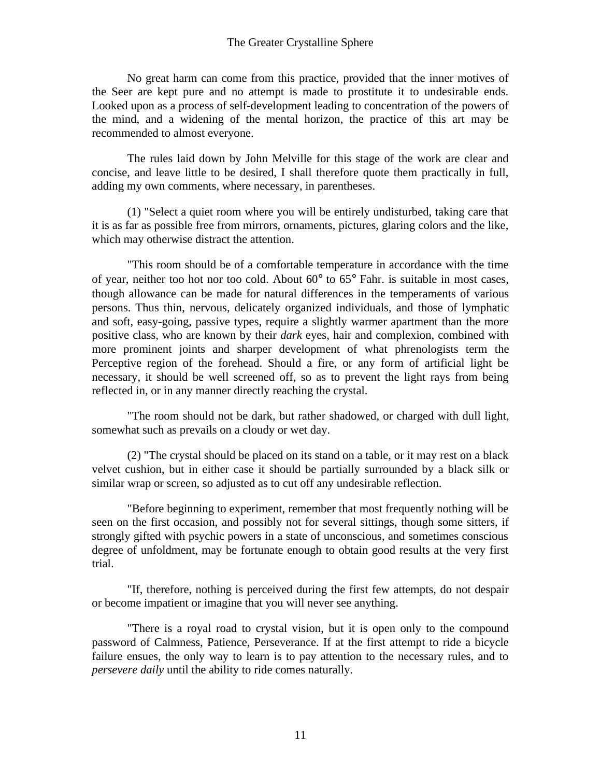#### The Greater Crystalline Sphere

No great harm can come from this practice, provided that the inner motives of the Seer are kept pure and no attempt is made to prostitute it to undesirable ends. Looked upon as a process of self-development leading to concentration of the powers of the mind, and a widening of the mental horizon, the practice of this art may be recommended to almost everyone.

The rules laid down by John Melville for this stage of the work are clear and concise, and leave little to be desired, I shall therefore quote them practically in full, adding my own comments, where necessary, in parentheses.

(1) "Select a quiet room where you will be entirely undisturbed, taking care that it is as far as possible free from mirrors, ornaments, pictures, glaring colors and the like, which may otherwise distract the attention.

"This room should be of a comfortable temperature in accordance with the time of year, neither too hot nor too cold. About 60° to 65° Fahr. is suitable in most cases, though allowance can be made for natural differences in the temperaments of various persons. Thus thin, nervous, delicately organized individuals, and those of lymphatic and soft, easy-going, passive types, require a slightly warmer apartment than the more positive class, who are known by their *dark* eyes, hair and complexion, combined with more prominent joints and sharper development of what phrenologists term the Perceptive region of the forehead. Should a fire, or any form of artificial light be necessary, it should be well screened off, so as to prevent the light rays from being reflected in, or in any manner directly reaching the crystal.

"The room should not be dark, but rather shadowed, or charged with dull light, somewhat such as prevails on a cloudy or wet day.

(2) "The crystal should be placed on its stand on a table, or it may rest on a black velvet cushion, but in either case it should be partially surrounded by a black silk or similar wrap or screen, so adjusted as to cut off any undesirable reflection.

"Before beginning to experiment, remember that most frequently nothing will be seen on the first occasion, and possibly not for several sittings, though some sitters, if strongly gifted with psychic powers in a state of unconscious, and sometimes conscious degree of unfoldment, may be fortunate enough to obtain good results at the very first trial.

"If, therefore, nothing is perceived during the first few attempts, do not despair or become impatient or imagine that you will never see anything.

"There is a royal road to crystal vision, but it is open only to the compound password of Calmness, Patience, Perseverance. If at the first attempt to ride a bicycle failure ensues, the only way to learn is to pay attention to the necessary rules, and to *persevere daily* until the ability to ride comes naturally.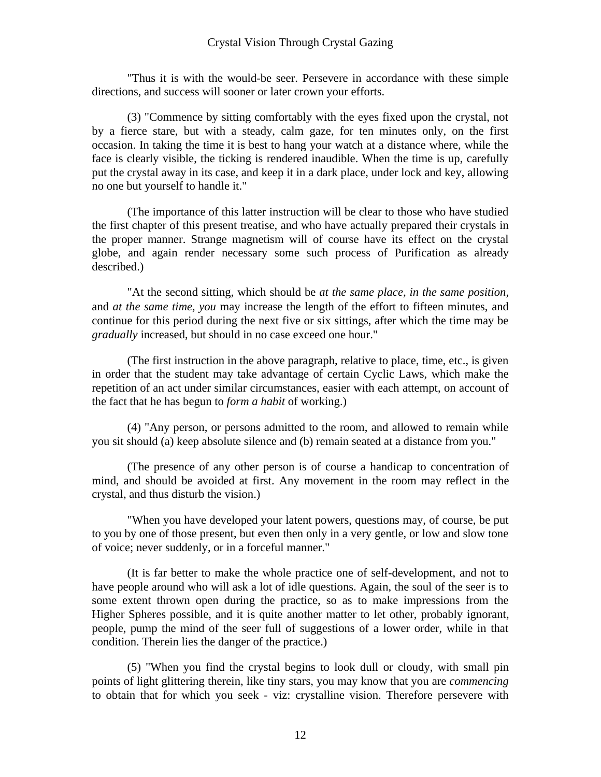"Thus it is with the would-be seer. Persevere in accordance with these simple directions, and success will sooner or later crown your efforts.

(3) "Commence by sitting comfortably with the eyes fixed upon the crystal, not by a fierce stare, but with a steady, calm gaze, for ten minutes only, on the first occasion. In taking the time it is best to hang your watch at a distance where, while the face is clearly visible, the ticking is rendered inaudible. When the time is up, carefully put the crystal away in its case, and keep it in a dark place, under lock and key, allowing no one but yourself to handle it."

(The importance of this latter instruction will be clear to those who have studied the first chapter of this present treatise, and who have actually prepared their crystals in the proper manner. Strange magnetism will of course have its effect on the crystal globe, and again render necessary some such process of Purification as already described.)

"At the second sitting, which should be *at the same place, in the same position,* and *at the same time, you* may increase the length of the effort to fifteen minutes, and continue for this period during the next five or six sittings, after which the time may be *gradually* increased, but should in no case exceed one hour."

(The first instruction in the above paragraph, relative to place, time, etc., is given in order that the student may take advantage of certain Cyclic Laws, which make the repetition of an act under similar circumstances, easier with each attempt, on account of the fact that he has begun to *form a habit* of working.)

(4) "Any person, or persons admitted to the room, and allowed to remain while you sit should (a) keep absolute silence and (b) remain seated at a distance from you."

(The presence of any other person is of course a handicap to concentration of mind, and should be avoided at first. Any movement in the room may reflect in the crystal, and thus disturb the vision.)

"When you have developed your latent powers, questions may, of course, be put to you by one of those present, but even then only in a very gentle, or low and slow tone of voice; never suddenly, or in a forceful manner."

(It is far better to make the whole practice one of self-development, and not to have people around who will ask a lot of idle questions. Again, the soul of the seer is to some extent thrown open during the practice, so as to make impressions from the Higher Spheres possible, and it is quite another matter to let other, probably ignorant, people, pump the mind of the seer full of suggestions of a lower order, while in that condition. Therein lies the danger of the practice.)

(5) "When you find the crystal begins to look dull or cloudy, with small pin points of light glittering therein, like tiny stars, you may know that you are *commencing* to obtain that for which you seek - viz: crystalline vision. Therefore persevere with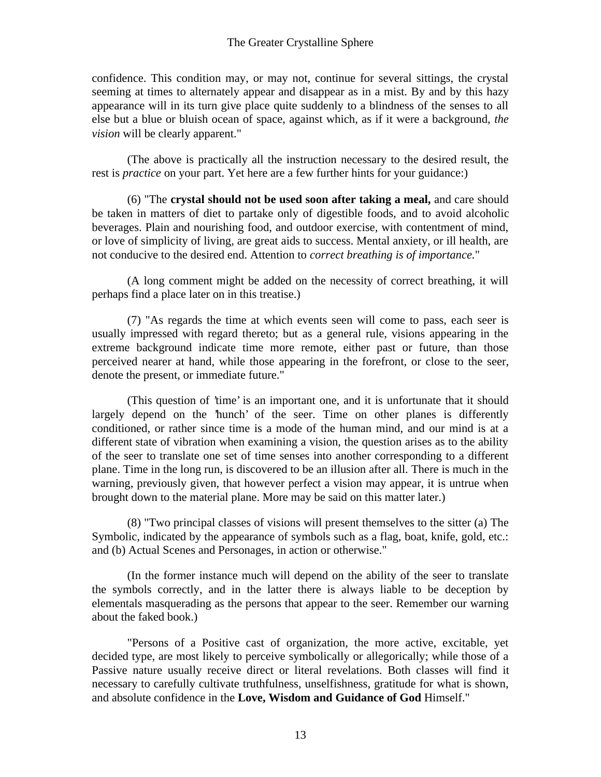#### The Greater Crystalline Sphere

confidence. This condition may, or may not, continue for several sittings, the crystal seeming at times to alternately appear and disappear as in a mist. By and by this hazy appearance will in its turn give place quite suddenly to a blindness of the senses to all else but a blue or bluish ocean of space, against which, as if it were a background, *the vision* will be clearly apparent."

(The above is practically all the instruction necessary to the desired result, the rest is *practice* on your part. Yet here are a few further hints for your guidance:)

(6) "The **crystal should not be used soon after taking a meal,** and care should be taken in matters of diet to partake only of digestible foods, and to avoid alcoholic beverages. Plain and nourishing food, and outdoor exercise, with contentment of mind, or love of simplicity of living, are great aids to success. Mental anxiety, or ill health, are not conducive to the desired end. Attention to *correct breathing is of importance.*"

(A long comment might be added on the necessity of correct breathing, it will perhaps find a place later on in this treatise.)

(7) "As regards the time at which events seen will come to pass, each seer is usually impressed with regard thereto; but as a general rule, visions appearing in the extreme background indicate time more remote, either past or future, than those perceived nearer at hand, while those appearing in the forefront, or close to the seer, denote the present, or immediate future."

(This question of 'time' is an important one, and it is unfortunate that it should largely depend on the 'hunch' of the seer. Time on other planes is differently conditioned, or rather since time is a mode of the human mind, and our mind is at a different state of vibration when examining a vision, the question arises as to the ability of the seer to translate one set of time senses into another corresponding to a different plane. Time in the long run, is discovered to be an illusion after all. There is much in the warning, previously given, that however perfect a vision may appear, it is untrue when brought down to the material plane. More may be said on this matter later.)

(8) "Two principal classes of visions will present themselves to the sitter (a) The Symbolic, indicated by the appearance of symbols such as a flag, boat, knife, gold, etc.: and (b) Actual Scenes and Personages, in action or otherwise."

(In the former instance much will depend on the ability of the seer to translate the symbols correctly, and in the latter there is always liable to be deception by elementals masquerading as the persons that appear to the seer. Remember our warning about the faked book.)

"Persons of a Positive cast of organization, the more active, excitable, yet decided type, are most likely to perceive symbolically or allegorically; while those of a Passive nature usually receive direct or literal revelations. Both classes will find it necessary to carefully cultivate truthfulness, unselfishness, gratitude for what is shown, and absolute confidence in the **Love, Wisdom and Guidance of God** Himself."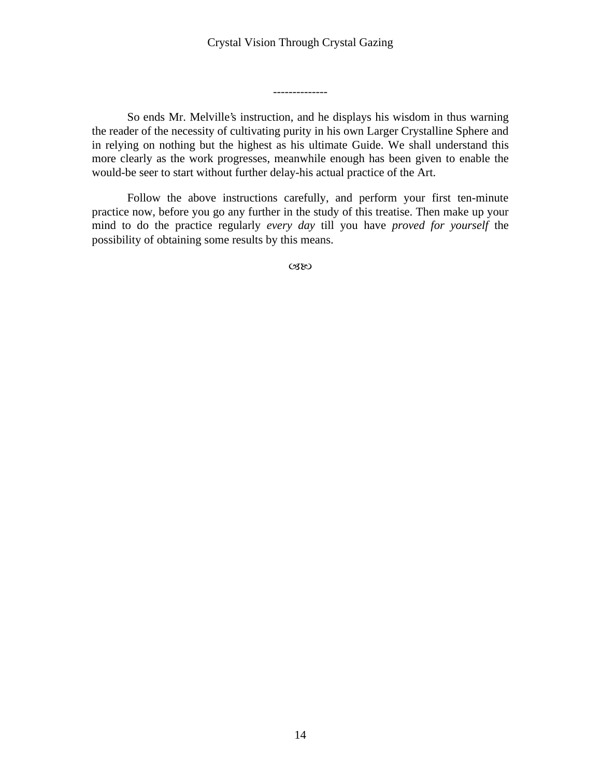--------------

So ends Mr. Melville's instruction, and he displays his wisdom in thus warning the reader of the necessity of cultivating purity in his own Larger Crystalline Sphere and in relying on nothing but the highest as his ultimate Guide. We shall understand this more clearly as the work progresses, meanwhile enough has been given to enable the would-be seer to start without further delay-his actual practice of the Art.

Follow the above instructions carefully, and perform your first ten-minute practice now, before you go any further in the study of this treatise. Then make up your mind to do the practice regularly *every day* till you have *proved for yourself* the possibility of obtaining some results by this means.

ðñ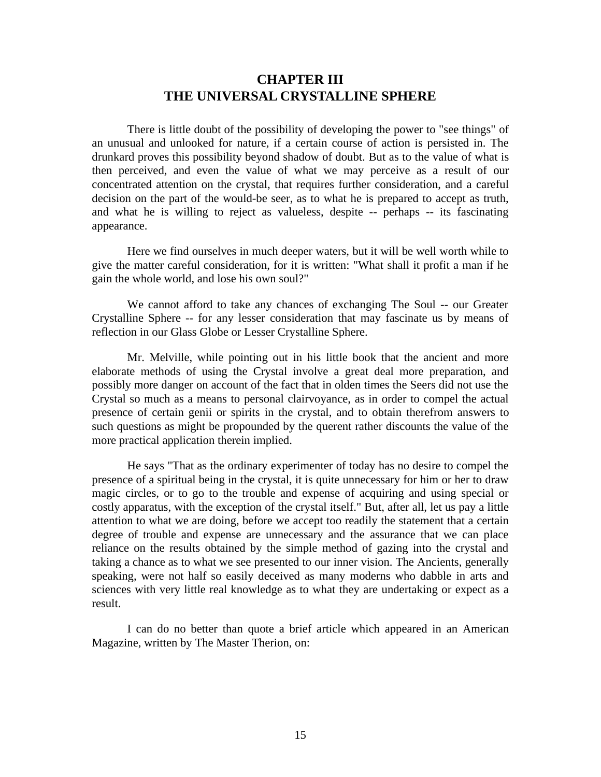# **CHAPTER III THE UNIVERSAL CRYSTALLINE SPHERE**

There is little doubt of the possibility of developing the power to "see things" of an unusual and unlooked for nature, if a certain course of action is persisted in. The drunkard proves this possibility beyond shadow of doubt. But as to the value of what is then perceived, and even the value of what we may perceive as a result of our concentrated attention on the crystal, that requires further consideration, and a careful decision on the part of the would-be seer, as to what he is prepared to accept as truth, and what he is willing to reject as valueless, despite -- perhaps -- its fascinating appearance.

Here we find ourselves in much deeper waters, but it will be well worth while to give the matter careful consideration, for it is written: "What shall it profit a man if he gain the whole world, and lose his own soul?"

We cannot afford to take any chances of exchanging The Soul -- our Greater Crystalline Sphere -- for any lesser consideration that may fascinate us by means of reflection in our Glass Globe or Lesser Crystalline Sphere.

Mr. Melville, while pointing out in his little book that the ancient and more elaborate methods of using the Crystal involve a great deal more preparation, and possibly more danger on account of the fact that in olden times the Seers did not use the Crystal so much as a means to personal clairvoyance, as in order to compel the actual presence of certain genii or spirits in the crystal, and to obtain therefrom answers to such questions as might be propounded by the querent rather discounts the value of the more practical application therein implied.

He says "That as the ordinary experimenter of today has no desire to compel the presence of a spiritual being in the crystal, it is quite unnecessary for him or her to draw magic circles, or to go to the trouble and expense of acquiring and using special or costly apparatus, with the exception of the crystal itself." But, after all, let us pay a little attention to what we are doing, before we accept too readily the statement that a certain degree of trouble and expense are unnecessary and the assurance that we can place reliance on the results obtained by the simple method of gazing into the crystal and taking a chance as to what we see presented to our inner vision. The Ancients, generally speaking, were not half so easily deceived as many moderns who dabble in arts and sciences with very little real knowledge as to what they are undertaking or expect as a result.

I can do no better than quote a brief article which appeared in an American Magazine, written by The Master Therion, on: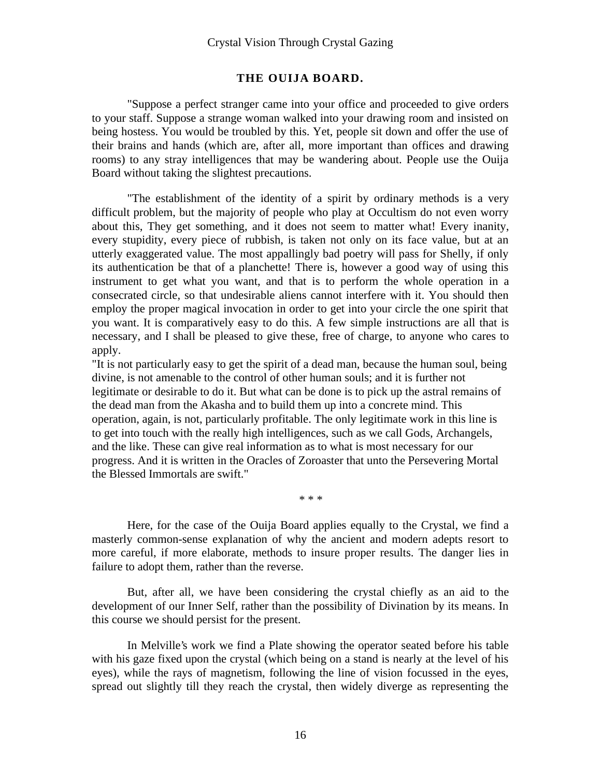#### **THE OUIJA BOARD.**

"Suppose a perfect stranger came into your office and proceeded to give orders to your staff. Suppose a strange woman walked into your drawing room and insisted on being hostess. You would be troubled by this. Yet, people sit down and offer the use of their brains and hands (which are, after all, more important than offices and drawing rooms) to any stray intelligences that may be wandering about. People use the Ouija Board without taking the slightest precautions.

"The establishment of the identity of a spirit by ordinary methods is a very difficult problem, but the majority of people who play at Occultism do not even worry about this, They get something, and it does not seem to matter what! Every inanity, every stupidity, every piece of rubbish, is taken not only on its face value, but at an utterly exaggerated value. The most appallingly bad poetry will pass for Shelly, if only its authentication be that of a planchette! There is, however a good way of using this instrument to get what you want, and that is to perform the whole operation in a consecrated circle, so that undesirable aliens cannot interfere with it. You should then employ the proper magical invocation in order to get into your circle the one spirit that you want. It is comparatively easy to do this. A few simple instructions are all that is necessary, and I shall be pleased to give these, free of charge, to anyone who cares to apply.

"It is not particularly easy to get the spirit of a dead man, because the human soul, being divine, is not amenable to the control of other human souls; and it is further not legitimate or desirable to do it. But what can be done is to pick up the astral remains of the dead man from the Akasha and to build them up into a concrete mind. This operation, again, is not, particularly profitable. The only legitimate work in this line is to get into touch with the really high intelligences, such as we call Gods, Archangels, and the like. These can give real information as to what is most necessary for our progress. And it is written in the Oracles of Zoroaster that unto the Persevering Mortal the Blessed Immortals are swift."

\* \* \*

Here, for the case of the Ouija Board applies equally to the Crystal, we find a masterly common-sense explanation of why the ancient and modern adepts resort to more careful, if more elaborate, methods to insure proper results. The danger lies in failure to adopt them, rather than the reverse.

But, after all, we have been considering the crystal chiefly as an aid to the development of our Inner Self, rather than the possibility of Divination by its means. In this course we should persist for the present.

In Melville's work we find a Plate showing the operator seated before his table with his gaze fixed upon the crystal (which being on a stand is nearly at the level of his eyes), while the rays of magnetism, following the line of vision focussed in the eyes, spread out slightly till they reach the crystal, then widely diverge as representing the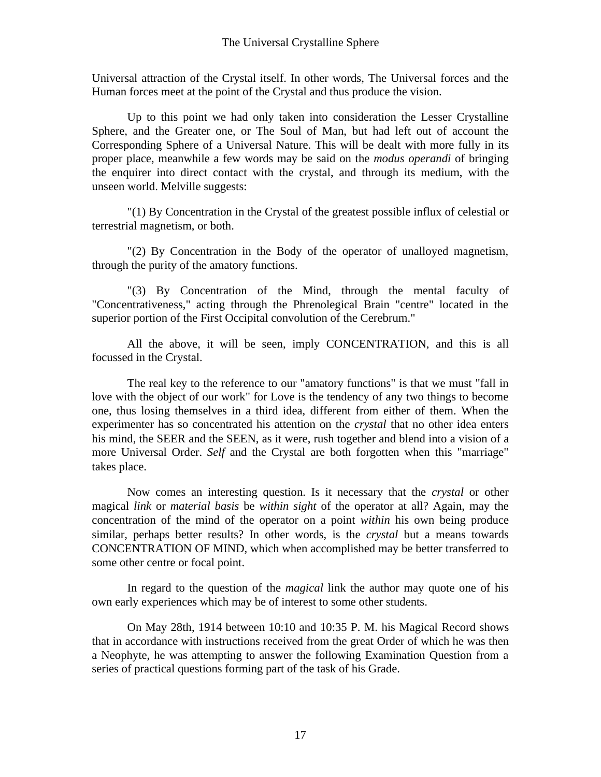Universal attraction of the Crystal itself. In other words, The Universal forces and the Human forces meet at the point of the Crystal and thus produce the vision.

Up to this point we had only taken into consideration the Lesser Crystalline Sphere, and the Greater one, or The Soul of Man, but had left out of account the Corresponding Sphere of a Universal Nature. This will be dealt with more fully in its proper place, meanwhile a few words may be said on the *modus operandi* of bringing the enquirer into direct contact with the crystal, and through its medium, with the unseen world. Melville suggests:

"(1) By Concentration in the Crystal of the greatest possible influx of celestial or terrestrial magnetism, or both.

"(2) By Concentration in the Body of the operator of unalloyed magnetism, through the purity of the amatory functions.

"(3) By Concentration of the Mind, through the mental faculty of "Concentrativeness," acting through the Phrenolegical Brain "centre" located in the superior portion of the First Occipital convolution of the Cerebrum."

All the above, it will be seen, imply CONCENTRATION, and this is all focussed in the Crystal.

The real key to the reference to our "amatory functions" is that we must "fall in love with the object of our work" for Love is the tendency of any two things to become one, thus losing themselves in a third idea, different from either of them. When the experimenter has so concentrated his attention on the *crystal* that no other idea enters his mind, the SEER and the SEEN, as it were, rush together and blend into a vision of a more Universal Order. *Self* and the Crystal are both forgotten when this "marriage" takes place.

Now comes an interesting question. Is it necessary that the *crystal* or other magical *link* or *material basis* be *within sight* of the operator at all? Again, may the concentration of the mind of the operator on a point *within* his own being produce similar, perhaps better results? In other words, is the *crystal* but a means towards CONCENTRATION OF MIND, which when accomplished may be better transferred to some other centre or focal point.

In regard to the question of the *magical* link the author may quote one of his own early experiences which may be of interest to some other students.

On May 28th, 1914 between 10:10 and 10:35 P. M. his Magical Record shows that in accordance with instructions received from the great Order of which he was then a Neophyte, he was attempting to answer the following Examination Question from a series of practical questions forming part of the task of his Grade.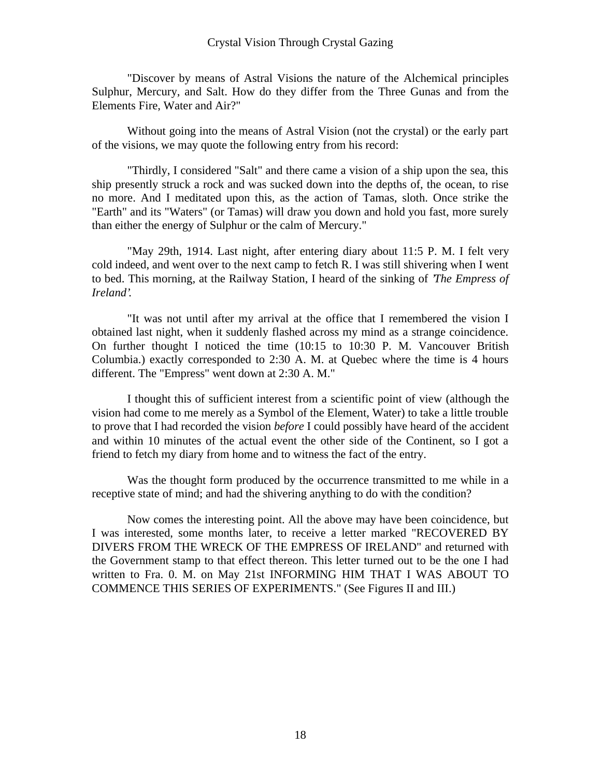"Discover by means of Astral Visions the nature of the Alchemical principles Sulphur, Mercury, and Salt. How do they differ from the Three Gunas and from the Elements Fire, Water and Air?"

Without going into the means of Astral Vision (not the crystal) or the early part of the visions, we may quote the following entry from his record:

"Thirdly, I considered "Salt" and there came a vision of a ship upon the sea, this ship presently struck a rock and was sucked down into the depths of, the ocean, to rise no more. And I meditated upon this, as the action of Tamas, sloth. Once strike the "Earth" and its "Waters" (or Tamas) will draw you down and hold you fast, more surely than either the energy of Sulphur or the calm of Mercury."

"May 29th, 1914. Last night, after entering diary about 11:5 P. M. I felt very cold indeed, and went over to the next camp to fetch R. I was still shivering when I went to bed. This morning, at the Railway Station, I heard of the sinking of *'The Empress of Ireland'.*

"It was not until after my arrival at the office that I remembered the vision I obtained last night, when it suddenly flashed across my mind as a strange coincidence. On further thought I noticed the time (10:15 to 10:30 P. M. Vancouver British Columbia.) exactly corresponded to 2:30 A. M. at Quebec where the time is 4 hours different. The "Empress" went down at 2:30 A. M."

I thought this of sufficient interest from a scientific point of view (although the vision had come to me merely as a Symbol of the Element, Water) to take a little trouble to prove that I had recorded the vision *before* I could possibly have heard of the accident and within 10 minutes of the actual event the other side of the Continent, so I got a friend to fetch my diary from home and to witness the fact of the entry.

Was the thought form produced by the occurrence transmitted to me while in a receptive state of mind; and had the shivering anything to do with the condition?

Now comes the interesting point. All the above may have been coincidence, but I was interested, some months later, to receive a letter marked "RECOVERED BY DIVERS FROM THE WRECK OF THE EMPRESS OF IRELAND" and returned with the Government stamp to that effect thereon. This letter turned out to be the one I had written to Fra. 0. M. on May 21st INFORMING HIM THAT I WAS ABOUT TO COMMENCE THIS SERIES OF EXPERIMENTS." (See Figures II and III.)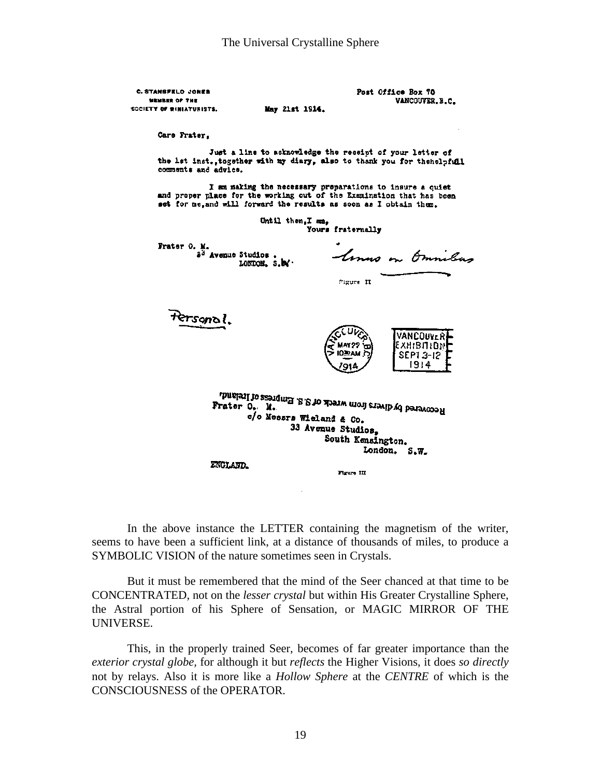Post Office Box 70 C. STANSFELD JONES **MEMBER OF THE** VANCOUVER.B.C. SOCIETY OF WINIATURISTS. May 21st 1914. Care Frater. Just a line to acknowledge the receipt of your letter of the lst inst., together with my diary, also to thank you for thehelpfull comments and advice. I am making the necessary preparations to insure a quiet and proper place for the working out of the Examination that has been set for me, and will forward the results as soon as I obtain them. Until then, I am, Yours fraternally Frater O. M.<br> $3^3$  Avenue Studios.<br>LONDOM. S longo on Omnibas LONDON. S.W. Pigure II **Tersonal** VANCOUVER **MOITRINX3** SEP1 3-12 1914 purjaij je ssaidura 's SJO valm um statip Aq paramool<br>rater O. M. .<br>c/o Nassas Wist of Later County of Paramool Frater O. M. c/o Messrs Wieland & Co. 33 Avenue Studios, South Kensington. London. S.W. ENGLAND. Figure III

In the above instance the LETTER containing the magnetism of the writer, seems to have been a sufficient link, at a distance of thousands of miles, to produce a SYMBOLIC VISION of the nature sometimes seen in Crystals.

But it must be remembered that the mind of the Seer chanced at that time to be CONCENTRATED, not on the *lesser crystal* but within His Greater Crystalline Sphere, the Astral portion of his Sphere of Sensation, or MAGIC MIRROR OF THE UNIVERSE.

This, in the properly trained Seer, becomes of far greater importance than the *exterior crystal globe,* for although it but *reflects* the Higher Visions, it does *so directly* not by relays. Also it is more like a *Hollow Sphere* at the *CENTRE* of which is the CONSCIOUSNESS of the OPERATOR.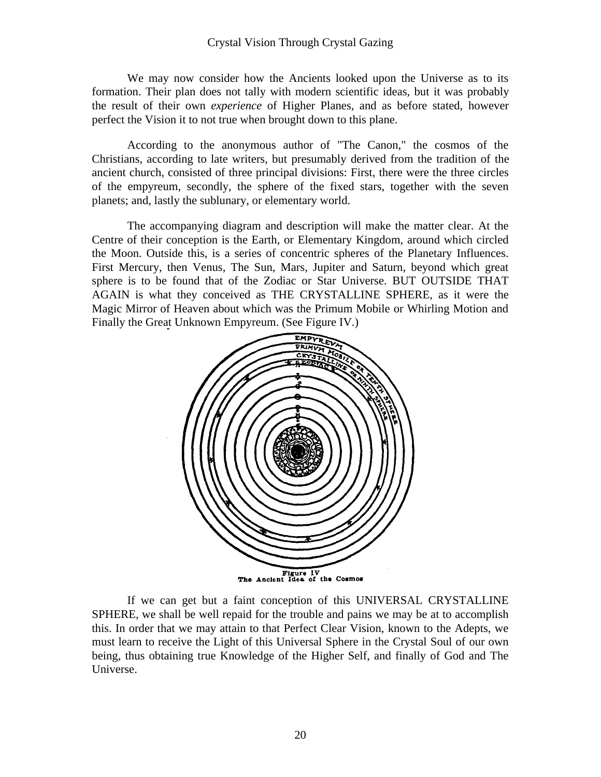We may now consider how the Ancients looked upon the Universe as to its formation. Their plan does not tally with modern scientific ideas, but it was probably the result of their own *experience* of Higher Planes, and as before stated, however perfect the Vision it to not true when brought down to this plane.

According to the anonymous author of "The Canon," the cosmos of the Christians, according to late writers, but presumably derived from the tradition of the ancient church, consisted of three principal divisions: First, there were the three circles of the empyreum, secondly, the sphere of the fixed stars, together with the seven planets; and, lastly the sublunary, or elementary world.

The accompanying diagram and description will make the matter clear. At the Centre of their conception is the Earth, or Elementary Kingdom, around which circled the Moon. Outside this, is a series of concentric spheres of the Planetary Influences. First Mercury, then Venus, The Sun, Mars, Jupiter and Saturn, beyond which great sphere is to be found that of the Zodiac or Star Universe. BUT OUTSIDE THAT AGAIN is what they conceived as THE CRYSTALLINE SPHERE, as it were the Magic Mirror of Heaven about which was the Primum Mobile or Whirling Motion and Finally the Great Unknown Empyreum. (See Figure IV.)



If we can get but a faint conception of this UNIVERSAL CRYSTALLINE SPHERE, we shall be well repaid for the trouble and pains we may be at to accomplish this. In order that we may attain to that Perfect Clear Vision, known to the Adepts, we must learn to receive the Light of this Universal Sphere in the Crystal Soul of our own being, thus obtaining true Knowledge of the Higher Self, and finally of God and The Universe.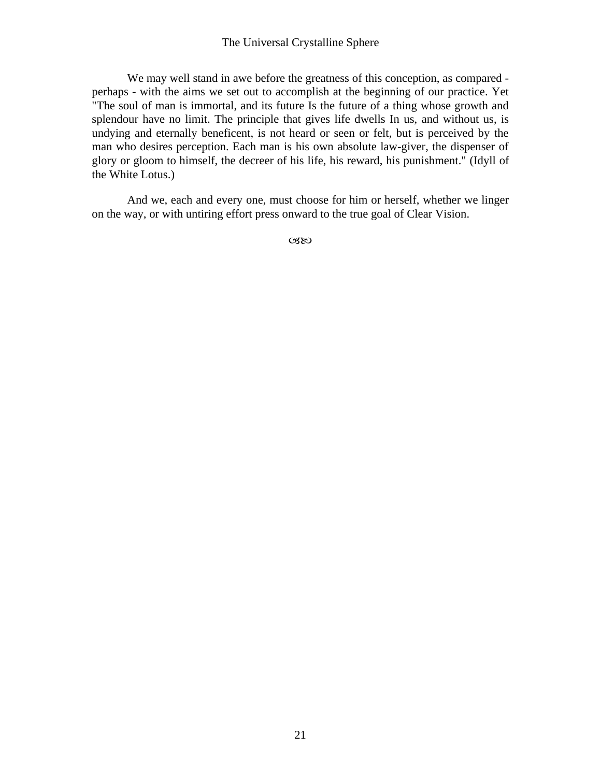#### The Universal Crystalline Sphere

We may well stand in awe before the greatness of this conception, as compared perhaps - with the aims we set out to accomplish at the beginning of our practice. Yet "The soul of man is immortal, and its future Is the future of a thing whose growth and splendour have no limit. The principle that gives life dwells In us, and without us, is undying and eternally beneficent, is not heard or seen or felt, but is perceived by the man who desires perception. Each man is his own absolute law-giver, the dispenser of glory or gloom to himself, the decreer of his life, his reward, his punishment." (Idyll of the White Lotus.)

And we, each and every one, must choose for him or herself, whether we linger on the way, or with untiring effort press onward to the true goal of Clear Vision.

ðñ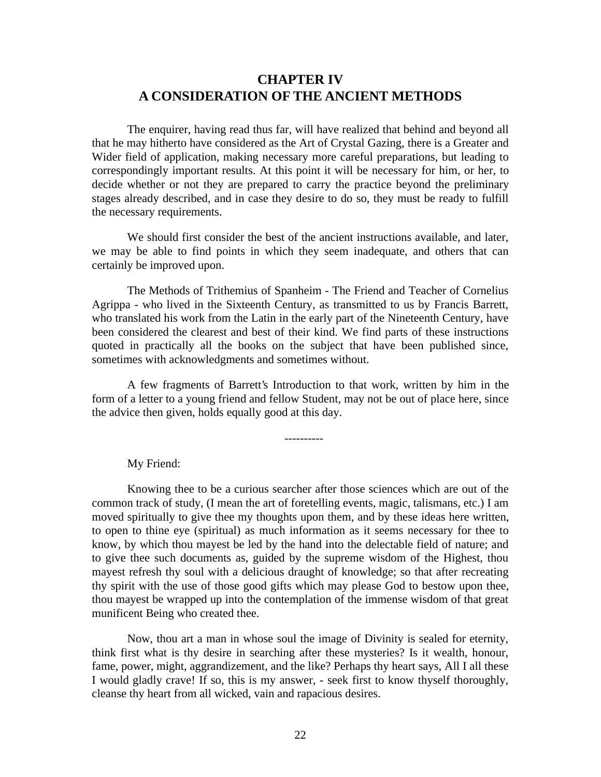## **CHAPTER IV A CONSIDERATION OF THE ANCIENT METHODS**

The enquirer, having read thus far, will have realized that behind and beyond all that he may hitherto have considered as the Art of Crystal Gazing, there is a Greater and Wider field of application, making necessary more careful preparations, but leading to correspondingly important results. At this point it will be necessary for him, or her, to decide whether or not they are prepared to carry the practice beyond the preliminary stages already described, and in case they desire to do so, they must be ready to fulfill the necessary requirements.

We should first consider the best of the ancient instructions available, and later, we may be able to find points in which they seem inadequate, and others that can certainly be improved upon.

The Methods of Trithemius of Spanheim - The Friend and Teacher of Cornelius Agrippa - who lived in the Sixteenth Century, as transmitted to us by Francis Barrett, who translated his work from the Latin in the early part of the Nineteenth Century, have been considered the clearest and best of their kind. We find parts of these instructions quoted in practically all the books on the subject that have been published since, sometimes with acknowledgments and sometimes without.

A few fragments of Barrett's Introduction to that work, written by him in the form of a letter to a young friend and fellow Student, may not be out of place here, since the advice then given, holds equally good at this day.

----------

My Friend:

Knowing thee to be a curious searcher after those sciences which are out of the common track of study, (I mean the art of foretelling events, magic, talismans, etc.) I am moved spiritually to give thee my thoughts upon them, and by these ideas here written, to open to thine eye (spiritual) as much information as it seems necessary for thee to know, by which thou mayest be led by the hand into the delectable field of nature; and to give thee such documents as, guided by the supreme wisdom of the Highest, thou mayest refresh thy soul with a delicious draught of knowledge; so that after recreating thy spirit with the use of those good gifts which may please God to bestow upon thee, thou mayest be wrapped up into the contemplation of the immense wisdom of that great munificent Being who created thee.

Now, thou art a man in whose soul the image of Divinity is sealed for eternity, think first what is thy desire in searching after these mysteries? Is it wealth, honour, fame, power, might, aggrandizement, and the like? Perhaps thy heart says, All I all these I would gladly crave! If so, this is my answer, - seek first to know thyself thoroughly, cleanse thy heart from all wicked, vain and rapacious desires.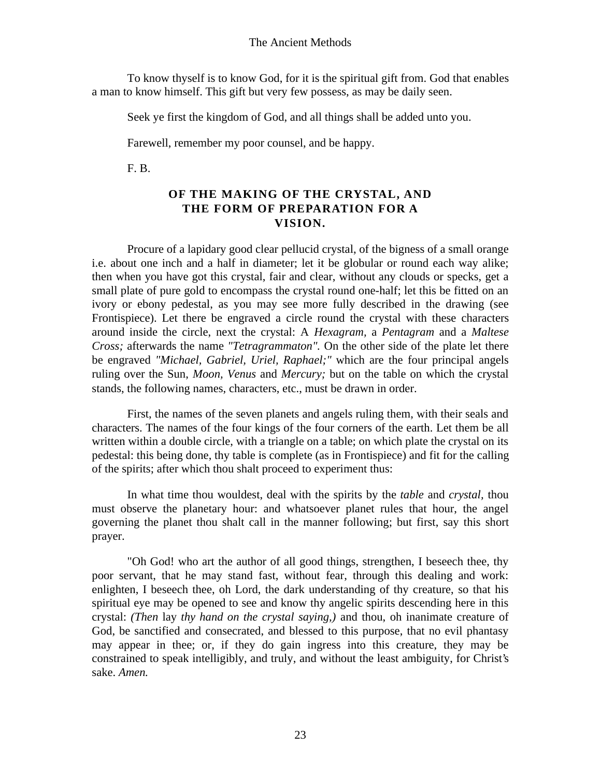#### The Ancient Methods

To know thyself is to know God, for it is the spiritual gift from. God that enables a man to know himself. This gift but very few possess, as may be daily seen.

Seek ye first the kingdom of God, and all things shall be added unto you.

Farewell, remember my poor counsel, and be happy.

F. B.

## **OF THE MAKING OF THE CRYSTAL, AND THE FORM OF PREPARATION FOR A VISION.**

Procure of a lapidary good clear pellucid crystal, of the bigness of a small orange i.e. about one inch and a half in diameter; let it be globular or round each way alike; then when you have got this crystal, fair and clear, without any clouds or specks, get a small plate of pure gold to encompass the crystal round one-half; let this be fitted on an ivory or ebony pedestal, as you may see more fully described in the drawing (see Frontispiece). Let there be engraved a circle round the crystal with these characters around inside the circle, next the crystal: A *Hexagram,* a *Pentagram* and a *Maltese Cross;* afterwards the name *"Tetragrammaton".* On the other side of the plate let there be engraved *"Michael, Gabriel, Uriel, Raphael;"* which are the four principal angels ruling over the Sun, *Moon, Venus* and *Mercury;* but on the table on which the crystal stands, the following names, characters, etc., must be drawn in order.

First, the names of the seven planets and angels ruling them, with their seals and characters. The names of the four kings of the four corners of the earth. Let them be all written within a double circle, with a triangle on a table; on which plate the crystal on its pedestal: this being done, thy table is complete (as in Frontispiece) and fit for the calling of the spirits; after which thou shalt proceed to experiment thus:

In what time thou wouldest, deal with the spirits by the *table* and *crystal,* thou must observe the planetary hour: and whatsoever planet rules that hour, the angel governing the planet thou shalt call in the manner following; but first, say this short prayer.

"Oh God! who art the author of all good things, strengthen, I beseech thee, thy poor servant, that he may stand fast, without fear, through this dealing and work: enlighten, I beseech thee, oh Lord, the dark understanding of thy creature, so that his spiritual eye may be opened to see and know thy angelic spirits descending here in this crystal: *(Then* lay *thy hand on the crystal saying,)* and thou, oh inanimate creature of God, be sanctified and consecrated, and blessed to this purpose, that no evil phantasy may appear in thee; or, if they do gain ingress into this creature, they may be constrained to speak intelligibly, and truly, and without the least ambiguity, for Christ's sake. *Amen.*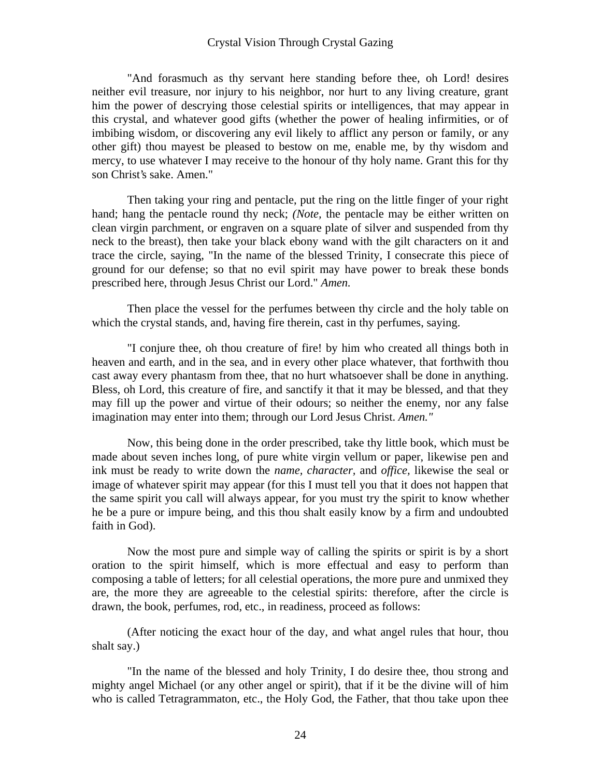"And forasmuch as thy servant here standing before thee, oh Lord! desires neither evil treasure, nor injury to his neighbor, nor hurt to any living creature, grant him the power of descrying those celestial spirits or intelligences, that may appear in this crystal, and whatever good gifts (whether the power of healing infirmities, or of imbibing wisdom, or discovering any evil likely to afflict any person or family, or any other gift) thou mayest be pleased to bestow on me, enable me, by thy wisdom and mercy, to use whatever I may receive to the honour of thy holy name. Grant this for thy son Christ's sake. Amen."

Then taking your ring and pentacle, put the ring on the little finger of your right hand; hang the pentacle round thy neck; *(Note, the pentacle may be either written on* clean virgin parchment, or engraven on a square plate of silver and suspended from thy neck to the breast), then take your black ebony wand with the gilt characters on it and trace the circle, saying, "In the name of the blessed Trinity, I consecrate this piece of ground for our defense; so that no evil spirit may have power to break these bonds prescribed here, through Jesus Christ our Lord." *Amen.*

Then place the vessel for the perfumes between thy circle and the holy table on which the crystal stands, and, having fire therein, cast in thy perfumes, saying.

"I conjure thee, oh thou creature of fire! by him who created all things both in heaven and earth, and in the sea, and in every other place whatever, that forthwith thou cast away every phantasm from thee, that no hurt whatsoever shall be done in anything. Bless, oh Lord, this creature of fire, and sanctify it that it may be blessed, and that they may fill up the power and virtue of their odours; so neither the enemy, nor any false imagination may enter into them; through our Lord Jesus Christ. *Amen."*

Now, this being done in the order prescribed, take thy little book, which must be made about seven inches long, of pure white virgin vellum or paper, likewise pen and ink must be ready to write down the *name, character,* and *office,* likewise the seal or image of whatever spirit may appear (for this I must tell you that it does not happen that the same spirit you call will always appear, for you must try the spirit to know whether he be a pure or impure being, and this thou shalt easily know by a firm and undoubted faith in God).

Now the most pure and simple way of calling the spirits or spirit is by a short oration to the spirit himself, which is more effectual and easy to perform than composing a table of letters; for all celestial operations, the more pure and unmixed they are, the more they are agreeable to the celestial spirits: therefore, after the circle is drawn, the book, perfumes, rod, etc., in readiness, proceed as follows:

(After noticing the exact hour of the day, and what angel rules that hour, thou shalt say.)

"In the name of the blessed and holy Trinity, I do desire thee, thou strong and mighty angel Michael (or any other angel or spirit), that if it be the divine will of him who is called Tetragrammaton, etc., the Holy God, the Father, that thou take upon thee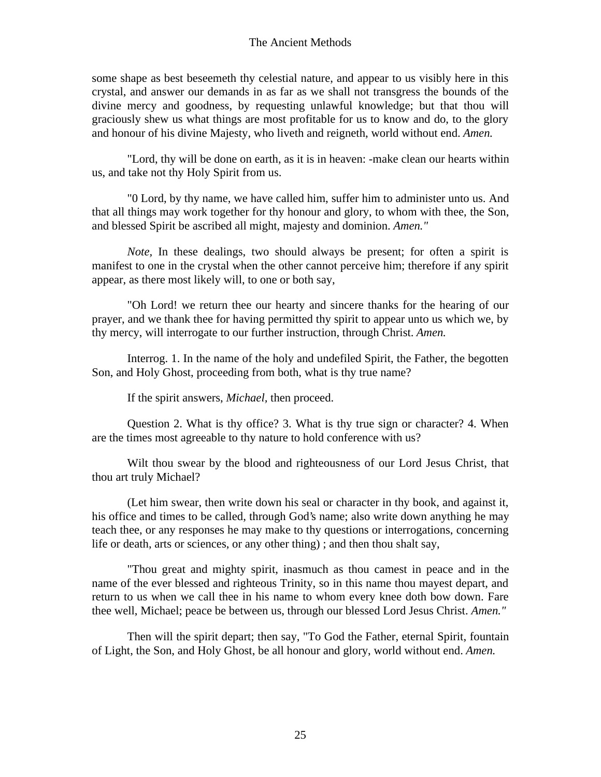#### The Ancient Methods

some shape as best beseemeth thy celestial nature, and appear to us visibly here in this crystal, and answer our demands in as far as we shall not transgress the bounds of the divine mercy and goodness, by requesting unlawful knowledge; but that thou will graciously shew us what things are most profitable for us to know and do, to the glory and honour of his divine Majesty, who liveth and reigneth, world without end. *Amen.*

"Lord, thy will be done on earth, as it is in heaven: -make clean our hearts within us, and take not thy Holy Spirit from us.

"0 Lord, by thy name, we have called him, suffer him to administer unto us. And that all things may work together for thy honour and glory, to whom with thee, the Son, and blessed Spirit be ascribed all might, majesty and dominion. *Amen."*

*Note*, In these dealings, two should always be present; for often a spirit is manifest to one in the crystal when the other cannot perceive him; therefore if any spirit appear, as there most likely will, to one or both say,

"Oh Lord! we return thee our hearty and sincere thanks for the hearing of our prayer, and we thank thee for having permitted thy spirit to appear unto us which we, by thy mercy, will interrogate to our further instruction, through Christ. *Amen.*

Interrog. 1. In the name of the holy and undefiled Spirit, the Father, the begotten Son, and Holy Ghost, proceeding from both, what is thy true name?

If the spirit answers, *Michael,* then proceed.

Question 2. What is thy office? 3. What is thy true sign or character? 4. When are the times most agreeable to thy nature to hold conference with us?

Wilt thou swear by the blood and righteousness of our Lord Jesus Christ, that thou art truly Michael?

(Let him swear, then write down his seal or character in thy book, and against it, his office and times to be called, through God's name; also write down anything he may teach thee, or any responses he may make to thy questions or interrogations, concerning life or death, arts or sciences, or any other thing) ; and then thou shalt say,

"Thou great and mighty spirit, inasmuch as thou camest in peace and in the name of the ever blessed and righteous Trinity, so in this name thou mayest depart, and return to us when we call thee in his name to whom every knee doth bow down. Fare thee well, Michael; peace be between us, through our blessed Lord Jesus Christ. *Amen."*

Then will the spirit depart; then say, "To God the Father, eternal Spirit, fountain of Light, the Son, and Holy Ghost, be all honour and glory, world without end. *Amen.*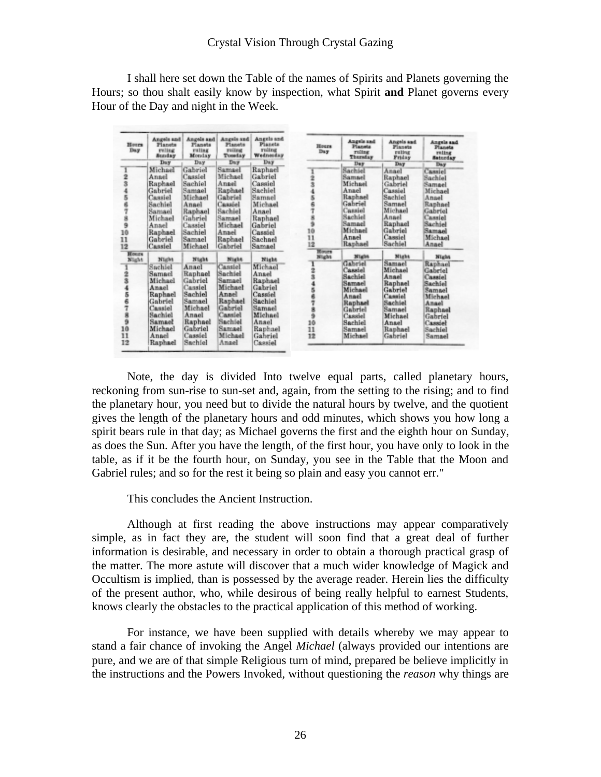I shall here set down the Table of the names of Spirits and Planets governing the Hours; so thou shalt easily know by inspection, what Spirit **and** Planet governs every Hour of the Day and night in the Week.

| <b>Hours</b><br>Day      | Angels and<br>Planets<br>enting<br>Sunday                                                                                  | has slepary<br>Flansts<br>ruling<br>Monday                                                                                  | Angels and<br><b>Planets</b><br>roling<br>Tuesday                                                                          | Angels and<br>Planeta<br>ruling<br>Wednesday                                                                                | <b>Hours</b><br>Duy   | Angels and<br>Planets<br>ruling<br>Thursday                                                                                  | Angels and<br><b>Fianets</b><br>ruting<br>Friday                                                                           | Angels and<br>Planeta<br>ruling<br><b>Batunday</b>                                                                                  |
|--------------------------|----------------------------------------------------------------------------------------------------------------------------|-----------------------------------------------------------------------------------------------------------------------------|----------------------------------------------------------------------------------------------------------------------------|-----------------------------------------------------------------------------------------------------------------------------|-----------------------|------------------------------------------------------------------------------------------------------------------------------|----------------------------------------------------------------------------------------------------------------------------|-------------------------------------------------------------------------------------------------------------------------------------|
|                          | Day                                                                                                                        | $_{\text{Dux}}$                                                                                                             | Day                                                                                                                        | Day                                                                                                                         |                       | $_{\rm Day}$                                                                                                                 | Day                                                                                                                        | Day                                                                                                                                 |
| 9<br>10<br>11            | Michael<br>Annel<br>Raphael<br>Gabriel<br>Cassiel<br>Sachiel<br>Samael<br>Michael<br>Annel<br>Raphael<br>Gabriel           | Gabriel<br>Cassiel<br>Sachiel<br>Samael<br>Michael<br>Anael<br>Raphael<br>Gabriel<br>Cassiel<br>Sachiel<br>Samael           | Samsel<br>Michael<br>Ansel<br>Raphael<br>Gabriel<br>Cassiel<br>Sachiel<br>Samael<br>Michael<br>Anael<br>Raphael            | Raphael<br>Gabriel<br>Cassiel<br>Sachiel<br>Samael<br>Michael<br>Anael<br>Raphael<br>Gabriel<br>Cassiel<br>Sachnel          | 10<br>11              | Sachiel<br>Samsel<br>Michael<br>Anael<br>Raphael<br>Gabriel<br>Cassiel<br>Sachiel<br>Sampel<br>Michael<br>Anael              | Annel<br>Raphael<br>Gabriel<br>Cassiel<br>Sachiel<br>Samnel<br>Michael<br>Ansel<br>Raphael<br>Gabriel<br>Cassiel           | Cassiel<br>Sachiel<br>Samsel<br>Michael<br>Annel<br>Raphael<br>Gabriel<br>Cassiel<br>Sachiel<br>Samanl<br>Michael                   |
| 12                       | Cassiel                                                                                                                    | Michael                                                                                                                     | Gabriel                                                                                                                    | Samsel                                                                                                                      | 12                    | Raphael                                                                                                                      | Sachiel                                                                                                                    | Anael                                                                                                                               |
| Hours<br>Night           | Night                                                                                                                      | Night                                                                                                                       | <b>Night</b>                                                                                                               | Night                                                                                                                       | <b>Hours</b><br>Night | Night                                                                                                                        | Night                                                                                                                      | Night                                                                                                                               |
| 8<br>9<br>10<br>īi<br>12 | Sachiel<br>Samaci<br>Michael<br>Anael<br>Raphael<br>Gabriel<br>Cassiel<br>Sachiel<br>Samsel<br>Michael<br>Annel<br>Raphael | Anael<br>Raphael<br>Gabriel<br>Cassiel<br>Sachiel<br>Samael<br>Michael<br>Anael<br>Raphael<br>Gabriel<br>Cassiel<br>Sachfel | Cassiel<br>Sachiel<br>Samael<br>Michael<br>Anael<br>Raphael<br>Gabriel<br>Cassiel<br>Sachiel<br>Samsel<br>Michael<br>Anael | Michael<br>Ansel<br>Raphael<br>Gabriel<br>Cassóel<br>Sachiel<br>Samsel<br>Michael<br>Ansel<br>Raphnel<br>Gahriel<br>Cassiel | 10<br>īī<br>12        | Gabriel<br>Cassiel<br>Sachiel<br>Samael<br>Michael<br>Annel<br>Raphael<br>Gabriel<br>Cassiel<br>Sachiel<br>Samael<br>Michael | Samael<br>Michael<br>Annel<br>Raphael<br>Gabriel<br>Cassiel<br>Sachiel<br>Samael<br>Michael<br>Anael<br>Raphael<br>Gabriel | Raphael<br>Gabriel<br>Cassiel<br>Sachiel<br><b>Samsel</b><br>Michael<br>Annel<br>Raphael<br>Gabriel<br>Cassiel<br>Sachiel<br>Samael |

Note, the day is divided Into twelve equal parts, called planetary hours, reckoning from sun-rise to sun-set and, again, from the setting to the rising; and to find the planetary hour, you need but to divide the natural hours by twelve, and the quotient gives the length of the planetary hours and odd minutes, which shows you how long a spirit bears rule in that day; as Michael governs the first and the eighth hour on Sunday, as does the Sun. After you have the length, of the first hour, you have only to look in the table, as if it be the fourth hour, on Sunday, you see in the Table that the Moon and Gabriel rules; and so for the rest it being so plain and easy you cannot err."

This concludes the Ancient Instruction.

Although at first reading the above instructions may appear comparatively simple, as in fact they are, the student will soon find that a great deal of further information is desirable, and necessary in order to obtain a thorough practical grasp of the matter. The more astute will discover that a much wider knowledge of Magick and Occultism is implied, than is possessed by the average reader. Herein lies the difficulty of the present author, who, while desirous of being really helpful to earnest Students, knows clearly the obstacles to the practical application of this method of working.

For instance, we have been supplied with details whereby we may appear to stand a fair chance of invoking the Angel *Michael* (always provided our intentions are pure, and we are of that simple Religious turn of mind, prepared be believe implicitly in the instructions and the Powers Invoked, without questioning the *reason* why things are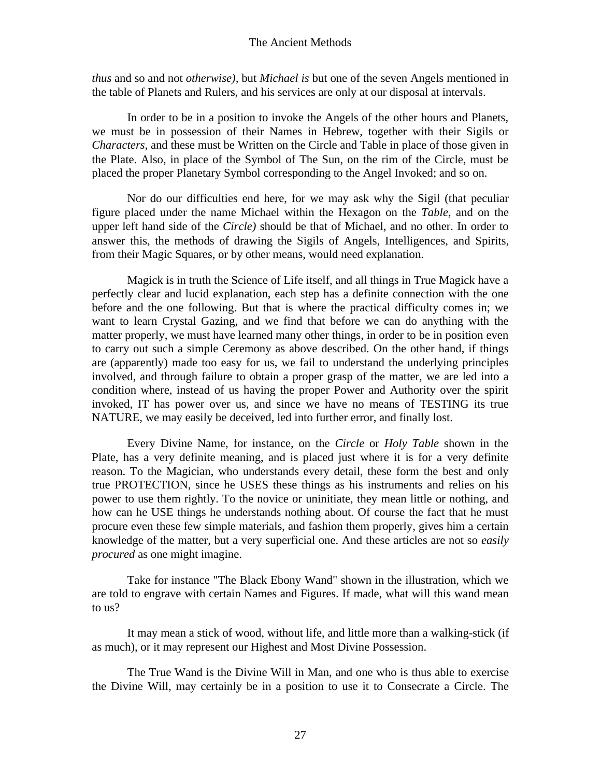#### The Ancient Methods

*thus* and so and not *otherwise),* but *Michael is* but one of the seven Angels mentioned in the table of Planets and Rulers, and his services are only at our disposal at intervals.

In order to be in a position to invoke the Angels of the other hours and Planets, we must be in possession of their Names in Hebrew, together with their Sigils or *Characters,* and these must be Written on the Circle and Table in place of those given in the Plate. Also, in place of the Symbol of The Sun, on the rim of the Circle, must be placed the proper Planetary Symbol corresponding to the Angel Invoked; and so on.

Nor do our difficulties end here, for we may ask why the Sigil (that peculiar figure placed under the name Michael within the Hexagon on the *Table,* and on the upper left hand side of the *Circle)* should be that of Michael, and no other. In order to answer this, the methods of drawing the Sigils of Angels, Intelligences, and Spirits, from their Magic Squares, or by other means, would need explanation.

Magick is in truth the Science of Life itself, and all things in True Magick have a perfectly clear and lucid explanation, each step has a definite connection with the one before and the one following. But that is where the practical difficulty comes in; we want to learn Crystal Gazing, and we find that before we can do anything with the matter properly, we must have learned many other things, in order to be in position even to carry out such a simple Ceremony as above described. On the other hand, if things are (apparently) made too easy for us, we fail to understand the underlying principles involved, and through failure to obtain a proper grasp of the matter, we are led into a condition where, instead of us having the proper Power and Authority over the spirit invoked, IT has power over us, and since we have no means of TESTING its true NATURE, we may easily be deceived, led into further error, and finally lost.

Every Divine Name, for instance, on the *Circle* or *Holy Table* shown in the Plate, has a very definite meaning, and is placed just where it is for a very definite reason. To the Magician, who understands every detail, these form the best and only true PROTECTION, since he USES these things as his instruments and relies on his power to use them rightly. To the novice or uninitiate, they mean little or nothing, and how can he USE things he understands nothing about. Of course the fact that he must procure even these few simple materials, and fashion them properly, gives him a certain knowledge of the matter, but a very superficial one. And these articles are not so *easily procured* as one might imagine.

Take for instance "The Black Ebony Wand" shown in the illustration, which we are told to engrave with certain Names and Figures. If made, what will this wand mean to us?

It may mean a stick of wood, without life, and little more than a walking-stick (if as much), or it may represent our Highest and Most Divine Possession.

The True Wand is the Divine Will in Man, and one who is thus able to exercise the Divine Will, may certainly be in a position to use it to Consecrate a Circle. The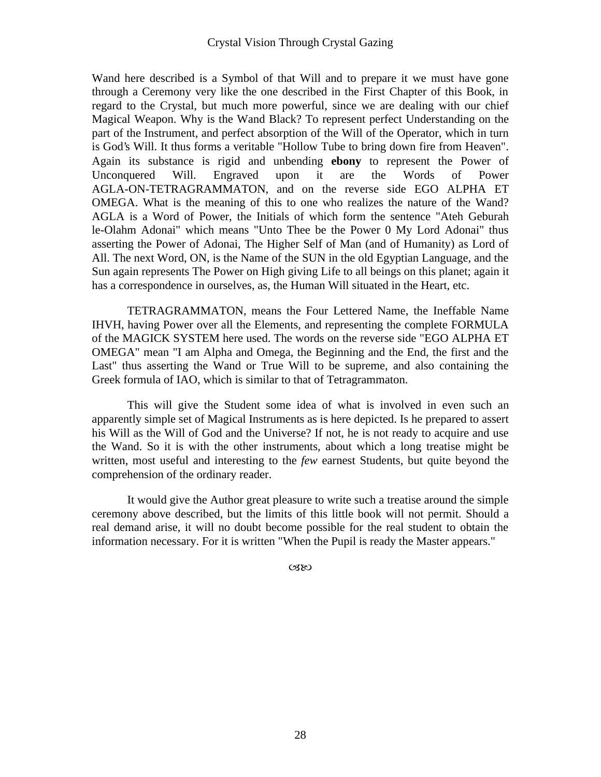Wand here described is a Symbol of that Will and to prepare it we must have gone through a Ceremony very like the one described in the First Chapter of this Book, in regard to the Crystal, but much more powerful, since we are dealing with our chief Magical Weapon. Why is the Wand Black? To represent perfect Understanding on the part of the Instrument, and perfect absorption of the Will of the Operator, which in turn is God's Will. It thus forms a veritable "Hollow Tube to bring down fire from Heaven". Again its substance is rigid and unbending **ebony** to represent the Power of Unconquered Will. Engraved upon it are the Words of Power AGLA-ON-TETRAGRAMMATON, and on the reverse side EGO ALPHA ET OMEGA. What is the meaning of this to one who realizes the nature of the Wand? AGLA is a Word of Power, the Initials of which form the sentence "Ateh Geburah le-Olahm Adonai" which means "Unto Thee be the Power 0 My Lord Adonai" thus asserting the Power of Adonai, The Higher Self of Man (and of Humanity) as Lord of All. The next Word, ON, is the Name of the SUN in the old Egyptian Language, and the Sun again represents The Power on High giving Life to all beings on this planet; again it has a correspondence in ourselves, as, the Human Will situated in the Heart, etc.

TETRAGRAMMATON, means the Four Lettered Name, the Ineffable Name IHVH, having Power over all the Elements, and representing the complete FORMULA of the MAGICK SYSTEM here used. The words on the reverse side "EGO ALPHA ET OMEGA" mean "I am Alpha and Omega, the Beginning and the End, the first and the Last" thus asserting the Wand or True Will to be supreme, and also containing the Greek formula of IAO, which is similar to that of Tetragrammaton.

This will give the Student some idea of what is involved in even such an apparently simple set of Magical Instruments as is here depicted. Is he prepared to assert his Will as the Will of God and the Universe? If not, he is not ready to acquire and use the Wand. So it is with the other instruments, about which a long treatise might be written, most useful and interesting to the *few* earnest Students, but quite beyond the comprehension of the ordinary reader.

It would give the Author great pleasure to write such a treatise around the simple ceremony above described, but the limits of this little book will not permit. Should a real demand arise, it will no doubt become possible for the real student to obtain the information necessary. For it is written "When the Pupil is ready the Master appears."

ðñ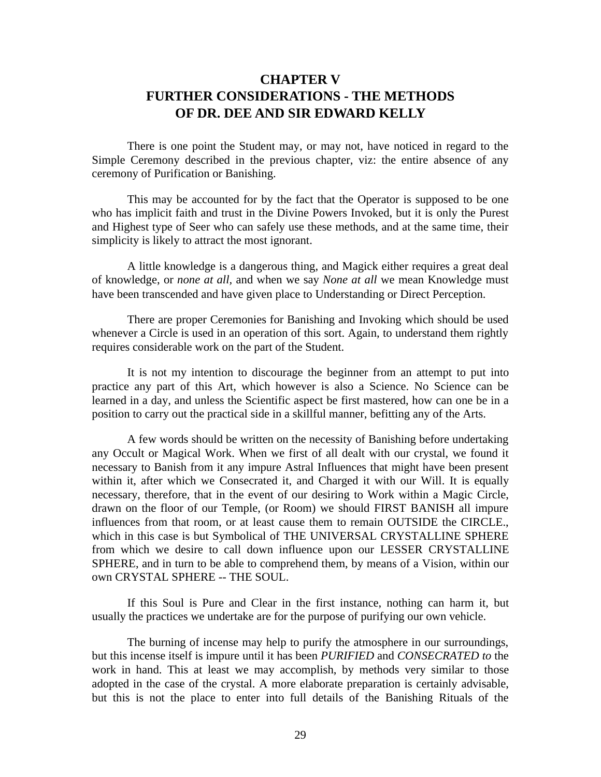# **CHAPTER V FURTHER CONSIDERATIONS - THE METHODS OF DR. DEE AND SIR EDWARD KELLY**

There is one point the Student may, or may not, have noticed in regard to the Simple Ceremony described in the previous chapter, viz: the entire absence of any ceremony of Purification or Banishing.

This may be accounted for by the fact that the Operator is supposed to be one who has implicit faith and trust in the Divine Powers Invoked, but it is only the Purest and Highest type of Seer who can safely use these methods, and at the same time, their simplicity is likely to attract the most ignorant.

A little knowledge is a dangerous thing, and Magick either requires a great deal of knowledge, or *none at all,* and when we say *None at all* we mean Knowledge must have been transcended and have given place to Understanding or Direct Perception.

There are proper Ceremonies for Banishing and Invoking which should be used whenever a Circle is used in an operation of this sort. Again, to understand them rightly requires considerable work on the part of the Student.

It is not my intention to discourage the beginner from an attempt to put into practice any part of this Art, which however is also a Science. No Science can be learned in a day, and unless the Scientific aspect be first mastered, how can one be in a position to carry out the practical side in a skillful manner, befitting any of the Arts.

A few words should be written on the necessity of Banishing before undertaking any Occult or Magical Work. When we first of all dealt with our crystal, we found it necessary to Banish from it any impure Astral Influences that might have been present within it, after which we Consecrated it, and Charged it with our Will. It is equally necessary, therefore, that in the event of our desiring to Work within a Magic Circle, drawn on the floor of our Temple, (or Room) we should FIRST BANISH all impure influences from that room, or at least cause them to remain OUTSIDE the CIRCLE., which in this case is but Symbolical of THE UNIVERSAL CRYSTALLINE SPHERE from which we desire to call down influence upon our LESSER CRYSTALLINE SPHERE, and in turn to be able to comprehend them, by means of a Vision, within our own CRYSTAL SPHERE -- THE SOUL.

If this Soul is Pure and Clear in the first instance, nothing can harm it, but usually the practices we undertake are for the purpose of purifying our own vehicle.

The burning of incense may help to purify the atmosphere in our surroundings, but this incense itself is impure until it has been *PURIFIED* and *CONSECRATED to* the work in hand. This at least we may accomplish, by methods very similar to those adopted in the case of the crystal. A more elaborate preparation is certainly advisable, but this is not the place to enter into full details of the Banishing Rituals of the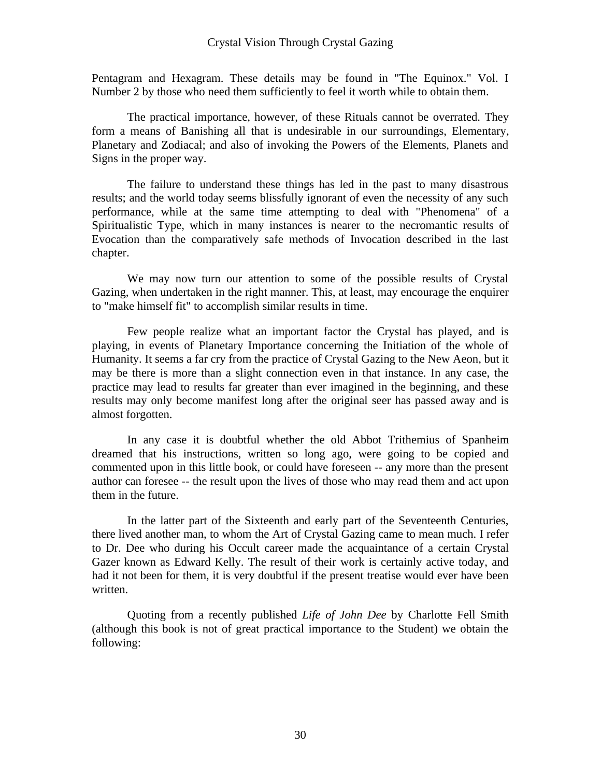Pentagram and Hexagram. These details may be found in "The Equinox." Vol. I Number 2 by those who need them sufficiently to feel it worth while to obtain them.

The practical importance, however, of these Rituals cannot be overrated. They form a means of Banishing all that is undesirable in our surroundings, Elementary, Planetary and Zodiacal; and also of invoking the Powers of the Elements, Planets and Signs in the proper way.

The failure to understand these things has led in the past to many disastrous results; and the world today seems blissfully ignorant of even the necessity of any such performance, while at the same time attempting to deal with "Phenomena" of a Spiritualistic Type, which in many instances is nearer to the necromantic results of Evocation than the comparatively safe methods of Invocation described in the last chapter.

We may now turn our attention to some of the possible results of Crystal Gazing, when undertaken in the right manner. This, at least, may encourage the enquirer to "make himself fit" to accomplish similar results in time.

Few people realize what an important factor the Crystal has played, and is playing, in events of Planetary Importance concerning the Initiation of the whole of Humanity. It seems a far cry from the practice of Crystal Gazing to the New Aeon, but it may be there is more than a slight connection even in that instance. In any case, the practice may lead to results far greater than ever imagined in the beginning, and these results may only become manifest long after the original seer has passed away and is almost forgotten.

In any case it is doubtful whether the old Abbot Trithemius of Spanheim dreamed that his instructions, written so long ago, were going to be copied and commented upon in this little book, or could have foreseen -- any more than the present author can foresee -- the result upon the lives of those who may read them and act upon them in the future.

In the latter part of the Sixteenth and early part of the Seventeenth Centuries, there lived another man, to whom the Art of Crystal Gazing came to mean much. I refer to Dr. Dee who during his Occult career made the acquaintance of a certain Crystal Gazer known as Edward Kelly. The result of their work is certainly active today, and had it not been for them, it is very doubtful if the present treatise would ever have been written.

Quoting from a recently published *Life of John Dee* by Charlotte Fell Smith (although this book is not of great practical importance to the Student) we obtain the following: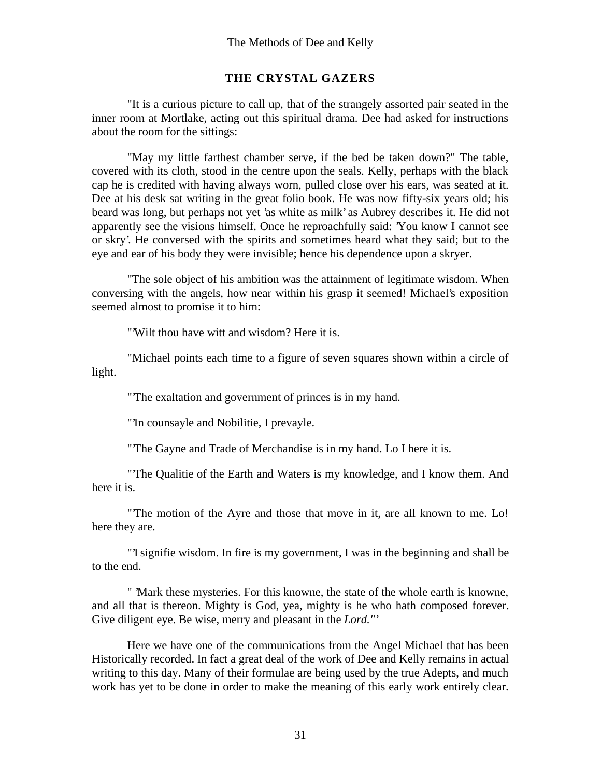#### **THE CRYSTAL GAZERS**

"It is a curious picture to call up, that of the strangely assorted pair seated in the inner room at Mortlake, acting out this spiritual drama. Dee had asked for instructions about the room for the sittings:

"May my little farthest chamber serve, if the bed be taken down?" The table, covered with its cloth, stood in the centre upon the seals. Kelly, perhaps with the black cap he is credited with having always worn, pulled close over his ears, was seated at it. Dee at his desk sat writing in the great folio book. He was now fifty-six years old; his beard was long, but perhaps not yet 'as white as milk' as Aubrey describes it. He did not apparently see the visions himself. Once he reproachfully said: 'You know I cannot see or skry'. He conversed with the spirits and sometimes heard what they said; but to the eye and ear of his body they were invisible; hence his dependence upon a skryer.

"The sole object of his ambition was the attainment of legitimate wisdom. When conversing with the angels, how near within his grasp it seemed! Michael's exposition seemed almost to promise it to him:

"'Wilt thou have witt and wisdom? Here it is.

"Michael points each time to a figure of seven squares shown within a circle of light.

"'The exaltation and government of princes is in my hand.

"'In counsayle and Nobilitie, I prevayle.

"'The Gayne and Trade of Merchandise is in my hand. Lo I here it is.

"'The Qualitie of the Earth and Waters is my knowledge, and I know them. And here it is.

"'The motion of the Ayre and those that move in it, are all known to me. Lo! here they are.

"'Isignifie wisdom. In fire is my government, I was in the beginning and shall be to the end.

" 'Mark these mysteries. For this knowne, the state of the whole earth is knowne, and all that is thereon. Mighty is God, yea, mighty is he who hath composed forever. Give diligent eye. Be wise, merry and pleasant in the *Lord."'*

Here we have one of the communications from the Angel Michael that has been Historically recorded. In fact a great deal of the work of Dee and Kelly remains in actual writing to this day. Many of their formulae are being used by the true Adepts, and much work has yet to be done in order to make the meaning of this early work entirely clear.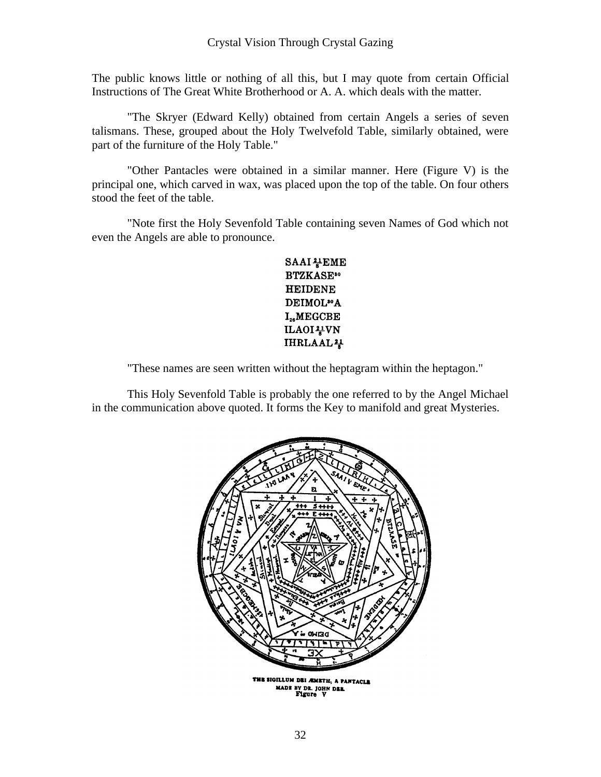The public knows little or nothing of all this, but I may quote from certain Official Instructions of The Great White Brotherhood or A. A. which deals with the matter.

"The Skryer (Edward Kelly) obtained from certain Angels a series of seven talismans. These, grouped about the Holy Twelvefold Table, similarly obtained, were part of the furniture of the Holy Table."

"Other Pantacles were obtained in a similar manner. Here (Figure V) is the principal one, which carved in wax, was placed upon the top of the table. On four others stood the feet of the table.

"Note first the Holy Sevenfold Table containing seven Names of God which not even the Angels are able to pronounce.

> $SAAI + EME$ **BTZKASE**<sup>80</sup> **HEIDENE** DEIMOL<sup>30</sup>A  $I_{26}MEGCBE$  $ILAOI<sub>8</sub><sup>1</sup>VN$ IHRLAAL<sup>21</sup>

"These names are seen written without the heptagram within the heptagon."

This Holy Sevenfold Table is probably the one referred to by the Angel Michael in the communication above quoted. It forms the Key to manifold and great Mysteries.

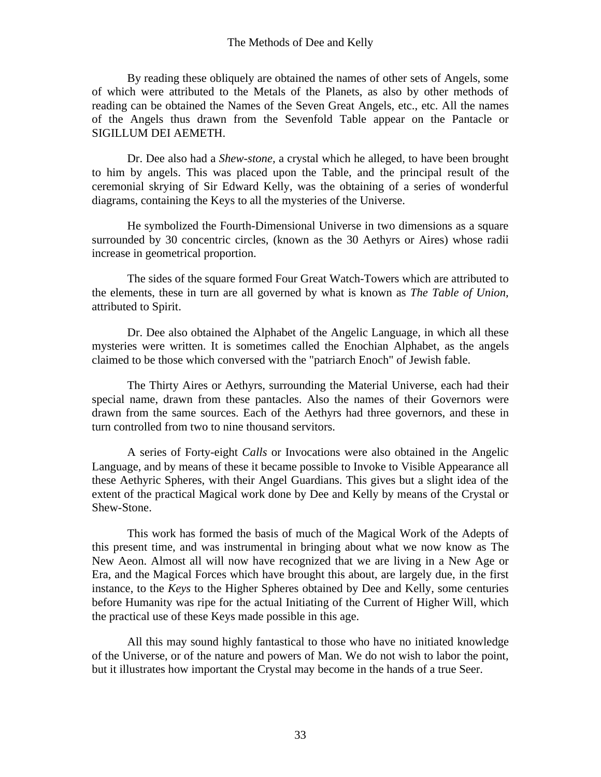#### The Methods of Dee and Kelly

By reading these obliquely are obtained the names of other sets of Angels, some of which were attributed to the Metals of the Planets, as also by other methods of reading can be obtained the Names of the Seven Great Angels, etc., etc. All the names of the Angels thus drawn from the Sevenfold Table appear on the Pantacle or SIGILLUM DEI AEMETH.

Dr. Dee also had a *Shew-stone,* a crystal which he alleged, to have been brought to him by angels. This was placed upon the Table, and the principal result of the ceremonial skrying of Sir Edward Kelly, was the obtaining of a series of wonderful diagrams, containing the Keys to all the mysteries of the Universe.

He symbolized the Fourth-Dimensional Universe in two dimensions as a square surrounded by 30 concentric circles, (known as the 30 Aethyrs or Aires) whose radii increase in geometrical proportion.

The sides of the square formed Four Great Watch-Towers which are attributed to the elements, these in turn are all governed by what is known as *The Table of Union,* attributed to Spirit.

Dr. Dee also obtained the Alphabet of the Angelic Language, in which all these mysteries were written. It is sometimes called the Enochian Alphabet, as the angels claimed to be those which conversed with the "patriarch Enoch" of Jewish fable.

The Thirty Aires or Aethyrs, surrounding the Material Universe, each had their special name, drawn from these pantacles. Also the names of their Governors were drawn from the same sources. Each of the Aethyrs had three governors, and these in turn controlled from two to nine thousand servitors.

A series of Forty-eight *Calls* or Invocations were also obtained in the Angelic Language, and by means of these it became possible to Invoke to Visible Appearance all these Aethyric Spheres, with their Angel Guardians. This gives but a slight idea of the extent of the practical Magical work done by Dee and Kelly by means of the Crystal or Shew-Stone.

This work has formed the basis of much of the Magical Work of the Adepts of this present time, and was instrumental in bringing about what we now know as The New Aeon. Almost all will now have recognized that we are living in a New Age or Era, and the Magical Forces which have brought this about, are largely due, in the first instance, to the *Keys* to the Higher Spheres obtained by Dee and Kelly, some centuries before Humanity was ripe for the actual Initiating of the Current of Higher Will, which the practical use of these Keys made possible in this age.

All this may sound highly fantastical to those who have no initiated knowledge of the Universe, or of the nature and powers of Man. We do not wish to labor the point, but it illustrates how important the Crystal may become in the hands of a true Seer.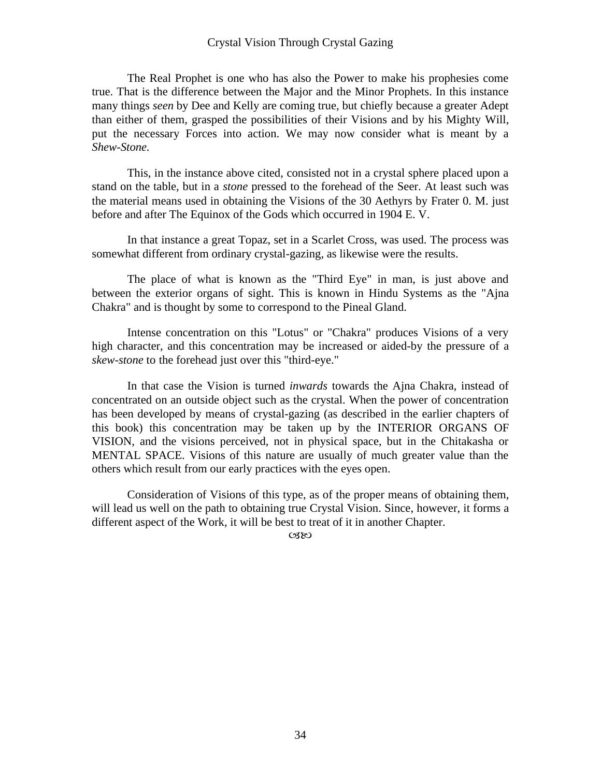The Real Prophet is one who has also the Power to make his prophesies come true. That is the difference between the Major and the Minor Prophets. In this instance many things *seen* by Dee and Kelly are coming true, but chiefly because a greater Adept than either of them, grasped the possibilities of their Visions and by his Mighty Will, put the necessary Forces into action. We may now consider what is meant by a *Shew-Stone.*

This, in the instance above cited, consisted not in a crystal sphere placed upon a stand on the table, but in a *stone* pressed to the forehead of the Seer. At least such was the material means used in obtaining the Visions of the 30 Aethyrs by Frater 0. M. just before and after The Equinox of the Gods which occurred in 1904 E. V.

In that instance a great Topaz, set in a Scarlet Cross, was used. The process was somewhat different from ordinary crystal-gazing, as likewise were the results.

The place of what is known as the "Third Eye" in man, is just above and between the exterior organs of sight. This is known in Hindu Systems as the "Ajna Chakra" and is thought by some to correspond to the Pineal Gland.

Intense concentration on this "Lotus" or "Chakra" produces Visions of a very high character, and this concentration may be increased or aided-by the pressure of a *skew-stone* to the forehead just over this "third-eye."

In that case the Vision is turned *inwards* towards the Ajna Chakra, instead of concentrated on an outside object such as the crystal. When the power of concentration has been developed by means of crystal-gazing (as described in the earlier chapters of this book) this concentration may be taken up by the INTERIOR ORGANS OF VISION, and the visions perceived, not in physical space, but in the Chitakasha or MENTAL SPACE. Visions of this nature are usually of much greater value than the others which result from our early practices with the eyes open.

Consideration of Visions of this type, as of the proper means of obtaining them, will lead us well on the path to obtaining true Crystal Vision. Since, however, it forms a different aspect of the Work, it will be best to treat of it in another Chapter.

ðñ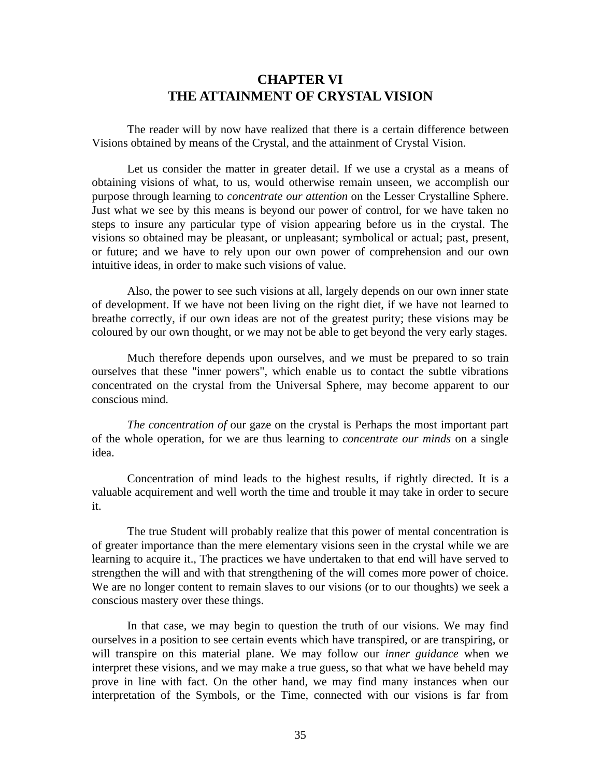# **CHAPTER VI THE ATTAINMENT OF CRYSTAL VISION**

The reader will by now have realized that there is a certain difference between Visions obtained by means of the Crystal, and the attainment of Crystal Vision.

Let us consider the matter in greater detail. If we use a crystal as a means of obtaining visions of what, to us, would otherwise remain unseen, we accomplish our purpose through learning to *concentrate our attention* on the Lesser Crystalline Sphere. Just what we see by this means is beyond our power of control, for we have taken no steps to insure any particular type of vision appearing before us in the crystal. The visions so obtained may be pleasant, or unpleasant; symbolical or actual; past, present, or future; and we have to rely upon our own power of comprehension and our own intuitive ideas, in order to make such visions of value.

Also, the power to see such visions at all, largely depends on our own inner state of development. If we have not been living on the right diet, if we have not learned to breathe correctly, if our own ideas are not of the greatest purity; these visions may be coloured by our own thought, or we may not be able to get beyond the very early stages.

Much therefore depends upon ourselves, and we must be prepared to so train ourselves that these "inner powers", which enable us to contact the subtle vibrations concentrated on the crystal from the Universal Sphere, may become apparent to our conscious mind.

*The concentration of* our gaze on the crystal is Perhaps the most important part of the whole operation, for we are thus learning to *concentrate our minds* on a single idea.

Concentration of mind leads to the highest results, if rightly directed. It is a valuable acquirement and well worth the time and trouble it may take in order to secure it.

The true Student will probably realize that this power of mental concentration is of greater importance than the mere elementary visions seen in the crystal while we are learning to acquire it., The practices we have undertaken to that end will have served to strengthen the will and with that strengthening of the will comes more power of choice. We are no longer content to remain slaves to our visions (or to our thoughts) we seek a conscious mastery over these things.

In that case, we may begin to question the truth of our visions. We may find ourselves in a position to see certain events which have transpired, or are transpiring, or will transpire on this material plane. We may follow our *inner guidance* when we interpret these visions, and we may make a true guess, so that what we have beheld may prove in line with fact. On the other hand, we may find many instances when our interpretation of the Symbols, or the Time, connected with our visions is far from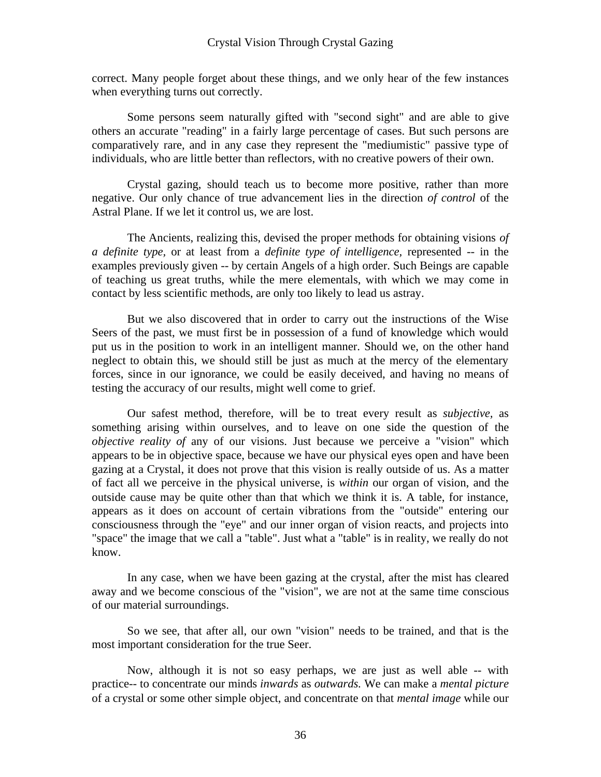correct. Many people forget about these things, and we only hear of the few instances when everything turns out correctly.

Some persons seem naturally gifted with "second sight" and are able to give others an accurate "reading" in a fairly large percentage of cases. But such persons are comparatively rare, and in any case they represent the "mediumistic" passive type of individuals, who are little better than reflectors, with no creative powers of their own.

Crystal gazing, should teach us to become more positive, rather than more negative. Our only chance of true advancement lies in the direction *of control* of the Astral Plane. If we let it control us, we are lost.

The Ancients, realizing this, devised the proper methods for obtaining visions *of a definite type,* or at least from a *definite type of intelligence,* represented -- in the examples previously given -- by certain Angels of a high order. Such Beings are capable of teaching us great truths, while the mere elementals, with which we may come in contact by less scientific methods, are only too likely to lead us astray.

But we also discovered that in order to carry out the instructions of the Wise Seers of the past, we must first be in possession of a fund of knowledge which would put us in the position to work in an intelligent manner. Should we, on the other hand neglect to obtain this, we should still be just as much at the mercy of the elementary forces, since in our ignorance, we could be easily deceived, and having no means of testing the accuracy of our results, might well come to grief.

Our safest method, therefore, will be to treat every result as *subjective,* as something arising within ourselves, and to leave on one side the question of the *objective reality of* any of our visions. Just because we perceive a "vision" which appears to be in objective space, because we have our physical eyes open and have been gazing at a Crystal, it does not prove that this vision is really outside of us. As a matter of fact all we perceive in the physical universe, is *within* our organ of vision, and the outside cause may be quite other than that which we think it is. A table, for instance, appears as it does on account of certain vibrations from the "outside" entering our consciousness through the "eye" and our inner organ of vision reacts, and projects into "space" the image that we call a "table". Just what a "table" is in reality, we really do not know.

In any case, when we have been gazing at the crystal, after the mist has cleared away and we become conscious of the "vision", we are not at the same time conscious of our material surroundings.

So we see, that after all, our own "vision" needs to be trained, and that is the most important consideration for the true Seer.

Now, although it is not so easy perhaps, we are just as well able -- with practice-- to concentrate our minds *inwards* as *outwards.* We can make a *mental picture* of a crystal or some other simple object, and concentrate on that *mental image* while our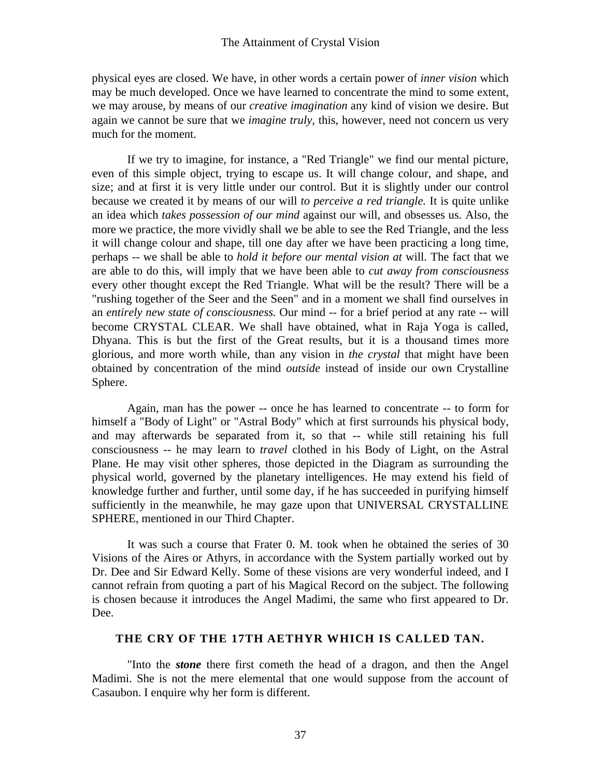physical eyes are closed. We have, in other words a certain power of *inner vision* which may be much developed. Once we have learned to concentrate the mind to some extent, we may arouse, by means of our *creative imagination* any kind of vision we desire. But again we cannot be sure that we *imagine truly,* this, however, need not concern us very much for the moment.

If we try to imagine, for instance, a "Red Triangle" we find our mental picture, even of this simple object, trying to escape us. It will change colour, and shape, and size; and at first it is very little under our control. But it is slightly under our control because we created it by means of our will *to perceive a red triangle.* It is quite unlike an idea which *takes possession of our mind* against our will, and obsesses us. Also, the more we practice, the more vividly shall we be able to see the Red Triangle, and the less it will change colour and shape, till one day after we have been practicing a long time, perhaps -- we shall be able to *hold it before our mental vision at* will. The fact that we are able to do this, will imply that we have been able to *cut away from consciousness* every other thought except the Red Triangle. What will be the result? There will be a "rushing together of the Seer and the Seen" and in a moment we shall find ourselves in an *entirely new state of consciousness.* Our mind -- for a brief period at any rate -- will become CRYSTAL CLEAR. We shall have obtained, what in Raja Yoga is called, Dhyana. This is but the first of the Great results, but it is a thousand times more glorious, and more worth while, than any vision in *the crystal* that might have been obtained by concentration of the mind *outside* instead of inside our own Crystalline Sphere.

Again, man has the power -- once he has learned to concentrate -- to form for himself a "Body of Light" or "Astral Body" which at first surrounds his physical body, and may afterwards be separated from it, so that -- while still retaining his full consciousness -- he may learn to *travel* clothed in his Body of Light, on the Astral Plane. He may visit other spheres, those depicted in the Diagram as surrounding the physical world, governed by the planetary intelligences. He may extend his field of knowledge further and further, until some day, if he has succeeded in purifying himself sufficiently in the meanwhile, he may gaze upon that UNIVERSAL CRYSTALLINE SPHERE, mentioned in our Third Chapter.

It was such a course that Frater 0. M. took when he obtained the series of 30 Visions of the Aires or Athyrs, in accordance with the System partially worked out by Dr. Dee and Sir Edward Kelly. Some of these visions are very wonderful indeed, and I cannot refrain from quoting a part of his Magical Record on the subject. The following is chosen because it introduces the Angel Madimi, the same who first appeared to Dr. Dee.

#### **THE CRY OF THE 17TH AETHYR WHICH IS CALLED TAN.**

"Into the *stone* there first cometh the head of a dragon, and then the Angel Madimi. She is not the mere elemental that one would suppose from the account of Casaubon. I enquire why her form is different.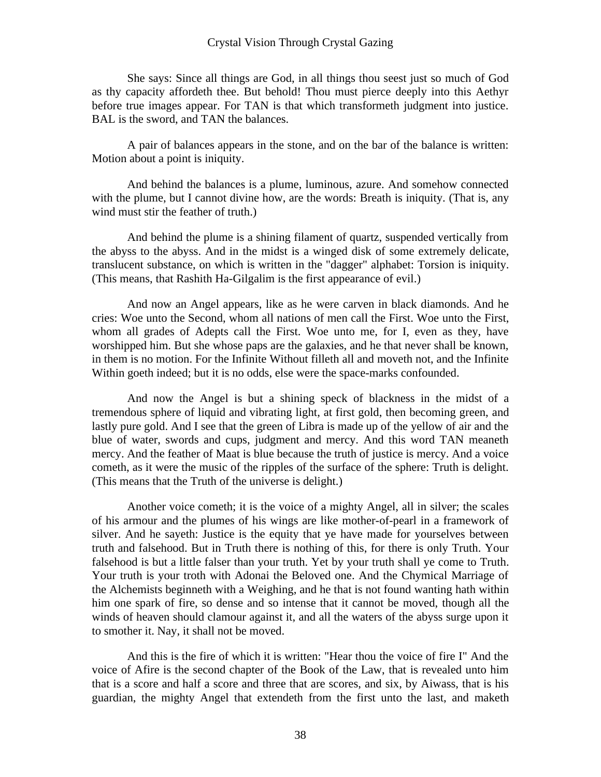She says: Since all things are God, in all things thou seest just so much of God as thy capacity affordeth thee. But behold! Thou must pierce deeply into this Aethyr before true images appear. For TAN is that which transformeth judgment into justice. BAL is the sword, and TAN the balances.

A pair of balances appears in the stone, and on the bar of the balance is written: Motion about a point is iniquity.

And behind the balances is a plume, luminous, azure. And somehow connected with the plume, but I cannot divine how, are the words: Breath is iniquity. (That is, any wind must stir the feather of truth.)

And behind the plume is a shining filament of quartz, suspended vertically from the abyss to the abyss. And in the midst is a winged disk of some extremely delicate, translucent substance, on which is written in the "dagger" alphabet: Torsion is iniquity. (This means, that Rashith Ha-Gilgalim is the first appearance of evil.)

And now an Angel appears, like as he were carven in black diamonds. And he cries: Woe unto the Second, whom all nations of men call the First. Woe unto the First, whom all grades of Adepts call the First. Woe unto me, for I, even as they, have worshipped him. But she whose paps are the galaxies, and he that never shall be known, in them is no motion. For the Infinite Without filleth all and moveth not, and the Infinite Within goeth indeed; but it is no odds, else were the space-marks confounded.

And now the Angel is but a shining speck of blackness in the midst of a tremendous sphere of liquid and vibrating light, at first gold, then becoming green, and lastly pure gold. And I see that the green of Libra is made up of the yellow of air and the blue of water, swords and cups, judgment and mercy. And this word TAN meaneth mercy. And the feather of Maat is blue because the truth of justice is mercy. And a voice cometh, as it were the music of the ripples of the surface of the sphere: Truth is delight. (This means that the Truth of the universe is delight.)

Another voice cometh; it is the voice of a mighty Angel, all in silver; the scales of his armour and the plumes of his wings are like mother-of-pearl in a framework of silver. And he sayeth: Justice is the equity that ye have made for yourselves between truth and falsehood. But in Truth there is nothing of this, for there is only Truth. Your falsehood is but a little falser than your truth. Yet by your truth shall ye come to Truth. Your truth is your troth with Adonai the Beloved one. And the Chymical Marriage of the Alchemists beginneth with a Weighing, and he that is not found wanting hath within him one spark of fire, so dense and so intense that it cannot be moved, though all the winds of heaven should clamour against it, and all the waters of the abyss surge upon it to smother it. Nay, it shall not be moved.

And this is the fire of which it is written: "Hear thou the voice of fire I" And the voice of Afire is the second chapter of the Book of the Law, that is revealed unto him that is a score and half a score and three that are scores, and six, by Aiwass, that is his guardian, the mighty Angel that extendeth from the first unto the last, and maketh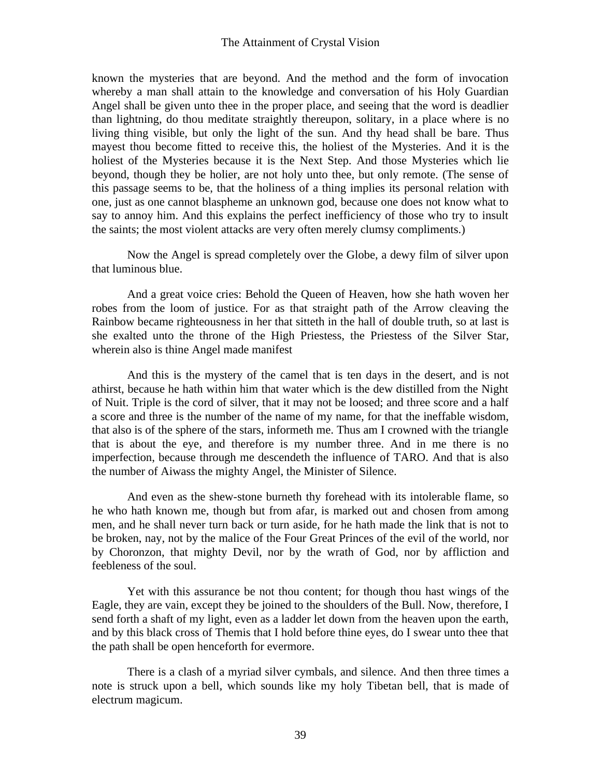known the mysteries that are beyond. And the method and the form of invocation whereby a man shall attain to the knowledge and conversation of his Holy Guardian Angel shall be given unto thee in the proper place, and seeing that the word is deadlier than lightning, do thou meditate straightly thereupon, solitary, in a place where is no living thing visible, but only the light of the sun. And thy head shall be bare. Thus mayest thou become fitted to receive this, the holiest of the Mysteries. And it is the holiest of the Mysteries because it is the Next Step. And those Mysteries which lie beyond, though they be holier, are not holy unto thee, but only remote. (The sense of this passage seems to be, that the holiness of a thing implies its personal relation with one, just as one cannot blaspheme an unknown god, because one does not know what to say to annoy him. And this explains the perfect inefficiency of those who try to insult the saints; the most violent attacks are very often merely clumsy compliments.)

Now the Angel is spread completely over the Globe, a dewy film of silver upon that luminous blue.

And a great voice cries: Behold the Queen of Heaven, how she hath woven her robes from the loom of justice. For as that straight path of the Arrow cleaving the Rainbow became righteousness in her that sitteth in the hall of double truth, so at last is she exalted unto the throne of the High Priestess, the Priestess of the Silver Star, wherein also is thine Angel made manifest

And this is the mystery of the camel that is ten days in the desert, and is not athirst, because he hath within him that water which is the dew distilled from the Night of Nuit. Triple is the cord of silver, that it may not be loosed; and three score and a half a score and three is the number of the name of my name, for that the ineffable wisdom, that also is of the sphere of the stars, informeth me. Thus am I crowned with the triangle that is about the eye, and therefore is my number three. And in me there is no imperfection, because through me descendeth the influence of TARO. And that is also the number of Aiwass the mighty Angel, the Minister of Silence.

And even as the shew-stone burneth thy forehead with its intolerable flame, so he who hath known me, though but from afar, is marked out and chosen from among men, and he shall never turn back or turn aside, for he hath made the link that is not to be broken, nay, not by the malice of the Four Great Princes of the evil of the world, nor by Choronzon, that mighty Devil, nor by the wrath of God, nor by affliction and feebleness of the soul.

Yet with this assurance be not thou content; for though thou hast wings of the Eagle, they are vain, except they be joined to the shoulders of the Bull. Now, therefore, I send forth a shaft of my light, even as a ladder let down from the heaven upon the earth, and by this black cross of Themis that I hold before thine eyes, do I swear unto thee that the path shall be open henceforth for evermore.

There is a clash of a myriad silver cymbals, and silence. And then three times a note is struck upon a bell, which sounds like my holy Tibetan bell, that is made of electrum magicum.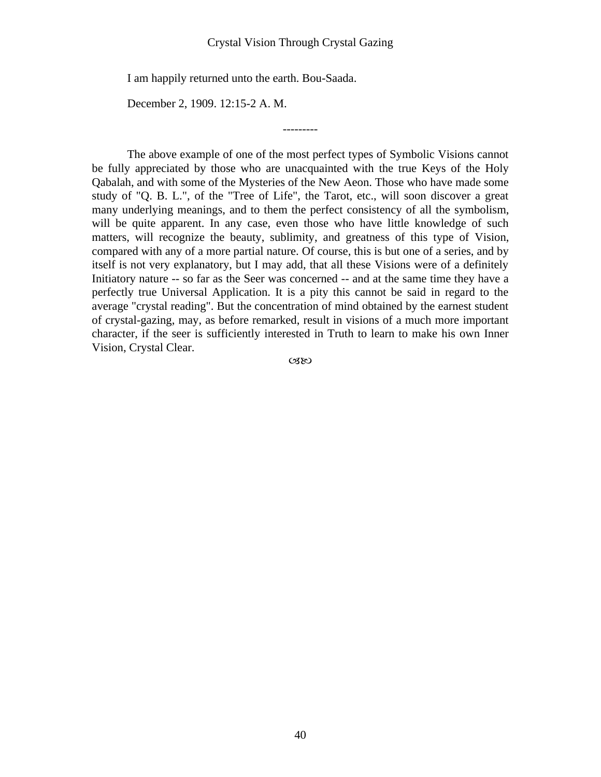---------

I am happily returned unto the earth. Bou-Saada.

December 2, 1909. 12:15-2 A. M.

The above example of one of the most perfect types of Symbolic Visions cannot be fully appreciated by those who are unacquainted with the true Keys of the Holy Qabalah, and with some of the Mysteries of the New Aeon. Those who have made some study of "Q. B. L.", of the "Tree of Life", the Tarot, etc., will soon discover a great many underlying meanings, and to them the perfect consistency of all the symbolism, will be quite apparent. In any case, even those who have little knowledge of such matters, will recognize the beauty, sublimity, and greatness of this type of Vision, compared with any of a more partial nature. Of course, this is but one of a series, and by itself is not very explanatory, but I may add, that all these Visions were of a definitely Initiatory nature -- so far as the Seer was concerned -- and at the same time they have a perfectly true Universal Application. It is a pity this cannot be said in regard to the average "crystal reading". But the concentration of mind obtained by the earnest student of crystal-gazing, may, as before remarked, result in visions of a much more important character, if the seer is sufficiently interested in Truth to learn to make his own Inner Vision, Crystal Clear.

ðñ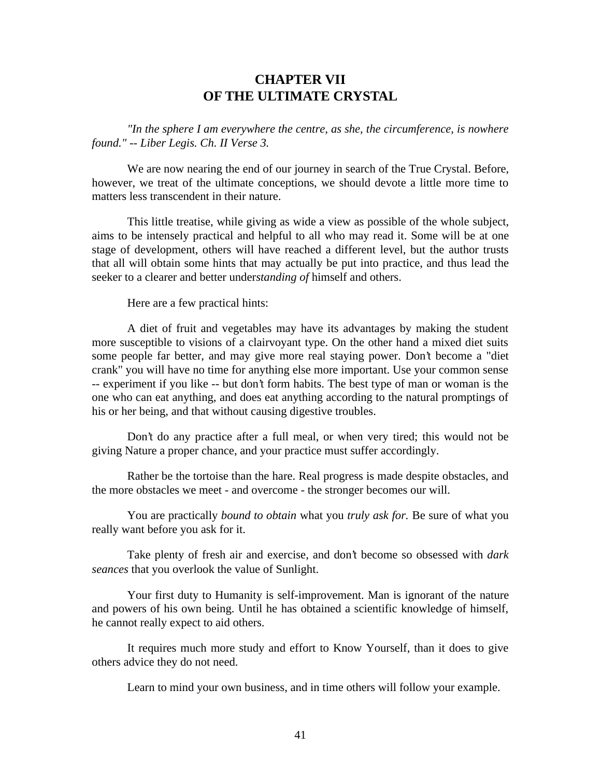# **CHAPTER VII OF THE ULTIMATE CRYSTAL**

*"In the sphere I am everywhere the centre, as she, the circumference, is nowhere found." -- Liber Legis. Ch. II Verse 3.*

We are now nearing the end of our journey in search of the True Crystal. Before, however, we treat of the ultimate conceptions, we should devote a little more time to matters less transcendent in their nature.

This little treatise, while giving as wide a view as possible of the whole subject, aims to be intensely practical and helpful to all who may read it. Some will be at one stage of development, others will have reached a different level, but the author trusts that all will obtain some hints that may actually be put into practice, and thus lead the seeker to a clearer and better under*standing of* himself and others.

Here are a few practical hints:

A diet of fruit and vegetables may have its advantages by making the student more susceptible to visions of a clairvoyant type. On the other hand a mixed diet suits some people far better, and may give more real staying power. Don't become a "diet crank" you will have no time for anything else more important. Use your common sense -- experiment if you like -- but don't form habits. The best type of man or woman is the one who can eat anything, and does eat anything according to the natural promptings of his or her being, and that without causing digestive troubles.

Don't do any practice after a full meal, or when very tired; this would not be giving Nature a proper chance, and your practice must suffer accordingly.

Rather be the tortoise than the hare. Real progress is made despite obstacles, and the more obstacles we meet - and overcome - the stronger becomes our will.

You are practically *bound to obtain* what you *truly ask for.* Be sure of what you really want before you ask for it.

Take plenty of fresh air and exercise, and don't become so obsessed with *dark seances* that you overlook the value of Sunlight.

Your first duty to Humanity is self-improvement. Man is ignorant of the nature and powers of his own being. Until he has obtained a scientific knowledge of himself, he cannot really expect to aid others.

It requires much more study and effort to Know Yourself, than it does to give others advice they do not need.

Learn to mind your own business, and in time others will follow your example.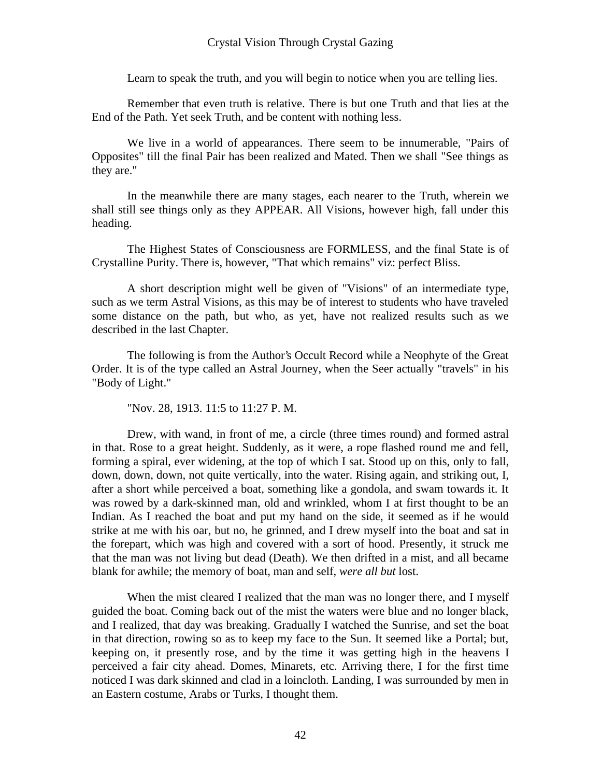Learn to speak the truth, and you will begin to notice when you are telling lies.

Remember that even truth is relative. There is but one Truth and that lies at the End of the Path. Yet seek Truth, and be content with nothing less.

We live in a world of appearances. There seem to be innumerable, "Pairs of Opposites" till the final Pair has been realized and Mated. Then we shall "See things as they are."

In the meanwhile there are many stages, each nearer to the Truth, wherein we shall still see things only as they APPEAR. All Visions, however high, fall under this heading.

The Highest States of Consciousness are FORMLESS, and the final State is of Crystalline Purity. There is, however, "That which remains" viz: perfect Bliss.

A short description might well be given of "Visions" of an intermediate type, such as we term Astral Visions, as this may be of interest to students who have traveled some distance on the path, but who, as yet, have not realized results such as we described in the last Chapter.

The following is from the Author's Occult Record while a Neophyte of the Great Order. It is of the type called an Astral Journey, when the Seer actually "travels" in his "Body of Light."

"Nov. 28, 1913. 11:5 to 11:27 P. M.

Drew, with wand, in front of me, a circle (three times round) and formed astral in that. Rose to a great height. Suddenly, as it were, a rope flashed round me and fell, forming a spiral, ever widening, at the top of which I sat. Stood up on this, only to fall, down, down, down, not quite vertically, into the water. Rising again, and striking out, I, after a short while perceived a boat, something like a gondola, and swam towards it. It was rowed by a dark-skinned man, old and wrinkled, whom I at first thought to be an Indian. As I reached the boat and put my hand on the side, it seemed as if he would strike at me with his oar, but no, he grinned, and I drew myself into the boat and sat in the forepart, which was high and covered with a sort of hood. Presently, it struck me that the man was not living but dead (Death). We then drifted in a mist, and all became blank for awhile; the memory of boat, man and self, *were all but* lost.

When the mist cleared I realized that the man was no longer there, and I myself guided the boat. Coming back out of the mist the waters were blue and no longer black, and I realized, that day was breaking. Gradually I watched the Sunrise, and set the boat in that direction, rowing so as to keep my face to the Sun. It seemed like a Portal; but, keeping on, it presently rose, and by the time it was getting high in the heavens I perceived a fair city ahead. Domes, Minarets, etc. Arriving there, I for the first time noticed I was dark skinned and clad in a loincloth. Landing, I was surrounded by men in an Eastern costume, Arabs or Turks, I thought them.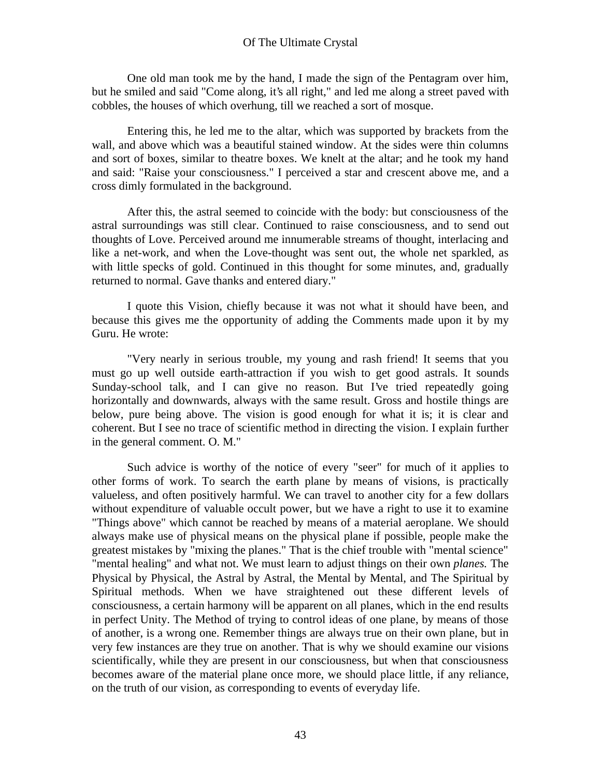#### Of The Ultimate Crystal

One old man took me by the hand, I made the sign of the Pentagram over him, but he smiled and said "Come along, it's all right," and led me along a street paved with cobbles, the houses of which overhung, till we reached a sort of mosque.

Entering this, he led me to the altar, which was supported by brackets from the wall, and above which was a beautiful stained window. At the sides were thin columns and sort of boxes, similar to theatre boxes. We knelt at the altar; and he took my hand and said: "Raise your consciousness." I perceived a star and crescent above me, and a cross dimly formulated in the background.

After this, the astral seemed to coincide with the body: but consciousness of the astral surroundings was still clear. Continued to raise consciousness, and to send out thoughts of Love. Perceived around me innumerable streams of thought, interlacing and like a net-work, and when the Love-thought was sent out, the whole net sparkled, as with little specks of gold. Continued in this thought for some minutes, and, gradually returned to normal. Gave thanks and entered diary."

I quote this Vision, chiefly because it was not what it should have been, and because this gives me the opportunity of adding the Comments made upon it by my Guru. He wrote:

"Very nearly in serious trouble, my young and rash friend! It seems that you must go up well outside earth-attraction if you wish to get good astrals. It sounds Sunday-school talk, and I can give no reason. But I've tried repeatedly going horizontally and downwards, always with the same result. Gross and hostile things are below, pure being above. The vision is good enough for what it is; it is clear and coherent. But I see no trace of scientific method in directing the vision. I explain further in the general comment. O. M."

Such advice is worthy of the notice of every "seer" for much of it applies to other forms of work. To search the earth plane by means of visions, is practically valueless, and often positively harmful. We can travel to another city for a few dollars without expenditure of valuable occult power, but we have a right to use it to examine "Things above" which cannot be reached by means of a material aeroplane. We should always make use of physical means on the physical plane if possible, people make the greatest mistakes by "mixing the planes." That is the chief trouble with "mental science" "mental healing" and what not. We must learn to adjust things on their own *planes.* The Physical by Physical, the Astral by Astral, the Mental by Mental, and The Spiritual by Spiritual methods. When we have straightened out these different levels of consciousness, a certain harmony will be apparent on all planes, which in the end results in perfect Unity. The Method of trying to control ideas of one plane, by means of those of another, is a wrong one. Remember things are always true on their own plane, but in very few instances are they true on another. That is why we should examine our visions scientifically, while they are present in our consciousness, but when that consciousness becomes aware of the material plane once more, we should place little, if any reliance, on the truth of our vision, as corresponding to events of everyday life.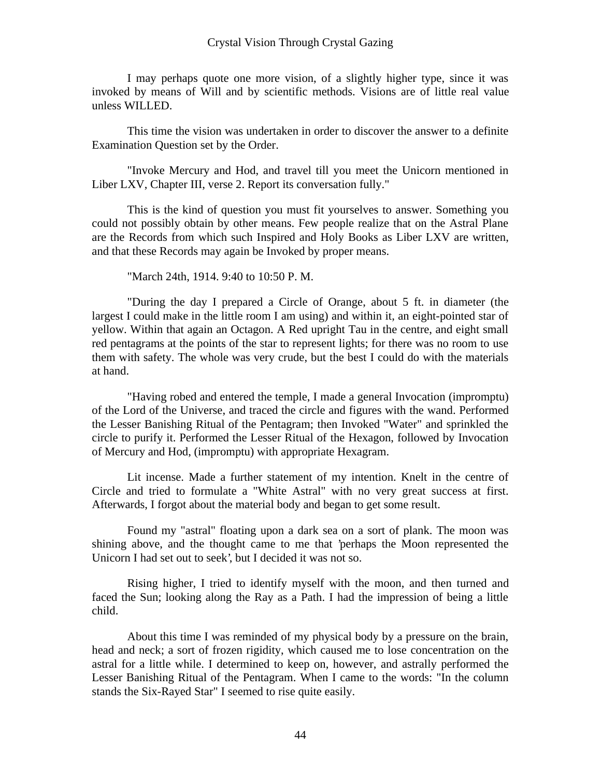I may perhaps quote one more vision, of a slightly higher type, since it was invoked by means of Will and by scientific methods. Visions are of little real value unless WILLED.

This time the vision was undertaken in order to discover the answer to a definite Examination Question set by the Order.

"Invoke Mercury and Hod, and travel till you meet the Unicorn mentioned in Liber LXV, Chapter III, verse 2. Report its conversation fully."

This is the kind of question you must fit yourselves to answer. Something you could not possibly obtain by other means. Few people realize that on the Astral Plane are the Records from which such Inspired and Holy Books as Liber LXV are written, and that these Records may again be Invoked by proper means.

"March 24th, 1914. 9:40 to 10:50 P. M.

"During the day I prepared a Circle of Orange, about 5 ft. in diameter (the largest I could make in the little room I am using) and within it, an eight-pointed star of yellow. Within that again an Octagon. A Red upright Tau in the centre, and eight small red pentagrams at the points of the star to represent lights; for there was no room to use them with safety. The whole was very crude, but the best I could do with the materials at hand.

"Having robed and entered the temple, I made a general Invocation (impromptu) of the Lord of the Universe, and traced the circle and figures with the wand. Performed the Lesser Banishing Ritual of the Pentagram; then Invoked "Water" and sprinkled the circle to purify it. Performed the Lesser Ritual of the Hexagon, followed by Invocation of Mercury and Hod, (impromptu) with appropriate Hexagram.

Lit incense. Made a further statement of my intention. Knelt in the centre of Circle and tried to formulate a "White Astral" with no very great success at first. Afterwards, I forgot about the material body and began to get some result.

Found my "astral" floating upon a dark sea on a sort of plank. The moon was shining above, and the thought came to me that 'perhaps the Moon represented the Unicorn I had set out to seek', but I decided it was not so.

Rising higher, I tried to identify myself with the moon, and then turned and faced the Sun; looking along the Ray as a Path. I had the impression of being a little child.

About this time I was reminded of my physical body by a pressure on the brain, head and neck; a sort of frozen rigidity, which caused me to lose concentration on the astral for a little while. I determined to keep on, however, and astrally performed the Lesser Banishing Ritual of the Pentagram. When I came to the words: "In the column stands the Six-Rayed Star" I seemed to rise quite easily.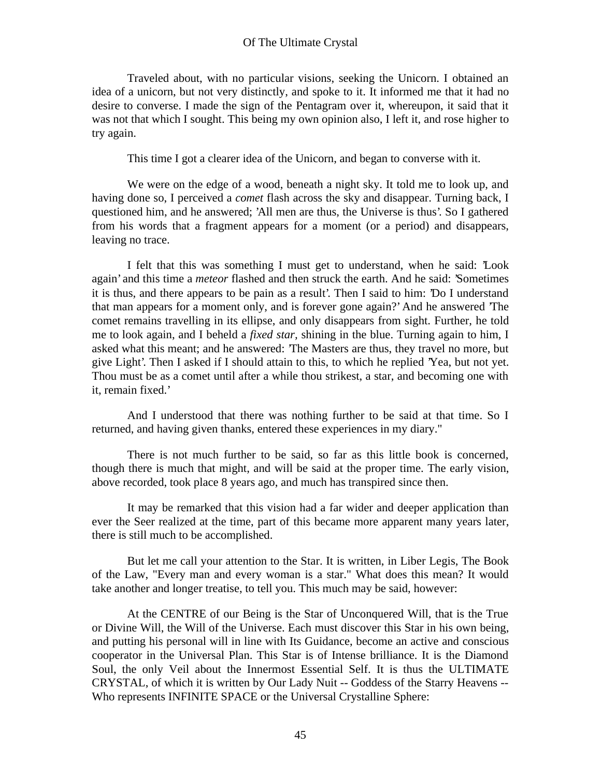#### Of The Ultimate Crystal

Traveled about, with no particular visions, seeking the Unicorn. I obtained an idea of a unicorn, but not very distinctly, and spoke to it. It informed me that it had no desire to converse. I made the sign of the Pentagram over it, whereupon, it said that it was not that which I sought. This being my own opinion also, I left it, and rose higher to try again.

This time I got a clearer idea of the Unicorn, and began to converse with it.

We were on the edge of a wood, beneath a night sky. It told me to look up, and having done so, I perceived a *comet* flash across the sky and disappear. Turning back, I questioned him, and he answered; 'All men are thus, the Universe is thus'. So I gathered from his words that a fragment appears for a moment (or a period) and disappears, leaving no trace.

I felt that this was something I must get to understand, when he said: 'Look again' and this time a *meteor* flashed and then struck the earth. And he said: 'Sometimes it is thus, and there appears to be pain as a result'. Then I said to him: 'Do I understand that man appears for a moment only, and is forever gone again?' And he answered 'The comet remains travelling in its ellipse, and only disappears from sight. Further, he told me to look again, and I beheld a *fixed star,* shining in the blue. Turning again to him, I asked what this meant; and he answered: 'The Masters are thus, they travel no more, but give Light'. Then I asked if I should attain to this, to which he replied 'Yea, but not yet. Thou must be as a comet until after a while thou strikest, a star, and becoming one with it, remain fixed.'

And I understood that there was nothing further to be said at that time. So I returned, and having given thanks, entered these experiences in my diary."

There is not much further to be said, so far as this little book is concerned, though there is much that might, and will be said at the proper time. The early vision, above recorded, took place 8 years ago, and much has transpired since then.

It may be remarked that this vision had a far wider and deeper application than ever the Seer realized at the time, part of this became more apparent many years later, there is still much to be accomplished.

But let me call your attention to the Star. It is written, in Liber Legis, The Book of the Law, "Every man and every woman is a star." What does this mean? It would take another and longer treatise, to tell you. This much may be said, however:

At the CENTRE of our Being is the Star of Unconquered Will, that is the True or Divine Will, the Will of the Universe. Each must discover this Star in his own being, and putting his personal will in line with Its Guidance, become an active and conscious cooperator in the Universal Plan. This Star is of Intense brilliance. It is the Diamond Soul, the only Veil about the Innermost Essential Self. It is thus the ULTIMATE CRYSTAL, of which it is written by Our Lady Nuit -- Goddess of the Starry Heavens -- Who represents INFINITE SPACE or the Universal Crystalline Sphere: